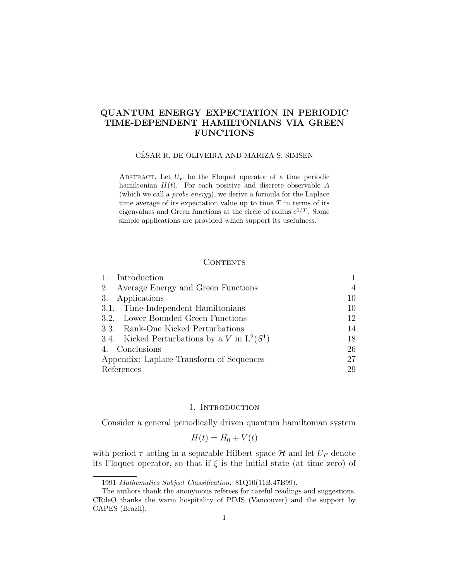# QUANTUM ENERGY EXPECTATION IN PERIODIC TIME-DEPENDENT HAMILTONIANS VIA GREEN FUNCTIONS

## CESAR R. DE OLIVEIRA AND MARIZA S. SIMSEN ´

ABSTRACT. Let  $U_F$  be the Floquet operator of a time periodic hamiltonian  $H(t)$ . For each positive and discrete observable A (which we call a probe energy), we derive a formula for the Laplace time average of its expectation value up to time  $T$  in terms of its eigenvalues and Green functions at the circle of radius  $e^{1/T}$ . Some simple applications are provided which support its usefulness.

## **CONTENTS**

| Introduction                                   |    |
|------------------------------------------------|----|
| Average Energy and Green Functions<br>2.       | 4  |
| Applications<br>3.                             | 10 |
| 3.1. Time-Independent Hamiltonians             | 10 |
| 3.2. Lower Bounded Green Functions             | 12 |
| 3.3. Rank-One Kicked Perturbations             | 14 |
| 3.4. Kicked Perturbations by a V in $L^2(S^1)$ | 18 |
| 4. Conclusions                                 | 26 |
| Appendix: Laplace Transform of Sequences       | 27 |
| References                                     | 29 |

### 1. Introduction

Consider a general periodically driven quantum hamiltonian system

$$
H(t) = H_0 + V(t)
$$

with period  $\tau$  acting in a separable Hilbert space  $\mathcal H$  and let  $U_F$  denote its Floquet operator, so that if  $\xi$  is the initial state (at time zero) of

<sup>1991</sup> Mathematics Subject Classification. 81Q10(11B,47B99).

The authors thank the anonymous referees for careful readings and suggestions. CRdeO thanks the warm hospitality of PIMS (Vancouver) and the support by CAPES (Brazil).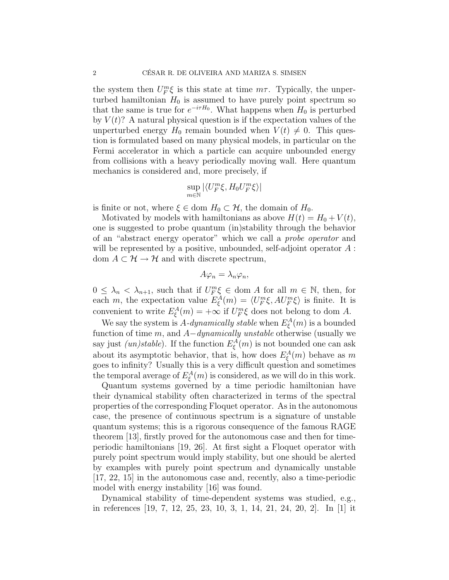the system then  $U_F^m \xi$  is this state at time  $m\tau$ . Typically, the unperturbed hamiltonian  $H_0$  is assumed to have purely point spectrum so that the same is true for  $e^{-i\tau H_0}$ . What happens when  $H_0$  is perturbed by  $V(t)$ ? A natural physical question is if the expectation values of the unperturbed energy  $H_0$  remain bounded when  $V(t) \neq 0$ . This question is formulated based on many physical models, in particular on the Fermi accelerator in which a particle can acquire unbounded energy from collisions with a heavy periodically moving wall. Here quantum mechanics is considered and, more precisely, if

$$
\sup_{m\in\mathbb{N}}|\langle U_{F}^{m}\xi,H_{0}U_{F}^{m}\xi\rangle|
$$

is finite or not, where  $\xi \in \text{dom } H_0 \subset \mathcal{H}$ , the domain of  $H_0$ .

Motivated by models with hamiltonians as above  $H(t) = H_0 + V(t)$ , one is suggested to probe quantum (in)stability through the behavior of an "abstract energy operator" which we call a probe operator and will be represented by a positive, unbounded, self-adjoint operator  $A$ : dom  $A \subset \mathcal{H} \to \mathcal{H}$  and with discrete spectrum,

$$
A\varphi_n=\lambda_n\varphi_n,
$$

 $0 \leq \lambda_n < \lambda_{n+1}$ , such that if  $U_F^m \xi \in \text{dom } A$  for all  $m \in \mathbb{N}$ , then, for each m, the expectation value  $E_{\xi}^{A}(m) = \langle U_{F}^{m} \xi, A U_{F}^{m} \xi \rangle$  is finite. It is convenient to write  $E_{\xi}^{A}(m) = +\infty$  if  $U_{F}^{m}\xi$  does not belong to dom A.

We say the system is A-dynamically stable when  $E_{\xi}^{A}(m)$  is a bounded function of time  $m$ , and  $A$ -dynamically unstable otherwise (usually we say just (*un)stable*). If the function  $E_{\xi}^{A}(m)$  is not bounded one can ask about its asymptotic behavior, that is, how does  $E_{\xi}^{A}(m)$  behave as m goes to infinity? Usually this is a very difficult question and sometimes the temporal average of  $E_{\xi}^{A}(m)$  is considered, as we will do in this work.

Quantum systems governed by a time periodic hamiltonian have their dynamical stability often characterized in terms of the spectral properties of the corresponding Floquet operator. As in the autonomous case, the presence of continuous spectrum is a signature of unstable quantum systems; this is a rigorous consequence of the famous RAGE theorem [13], firstly proved for the autonomous case and then for timeperiodic hamiltonians [19, 26]. At first sight a Floquet operator with purely point spectrum would imply stability, but one should be alerted by examples with purely point spectrum and dynamically unstable [17, 22, 15] in the autonomous case and, recently, also a time-periodic model with energy instability [16] was found.

Dynamical stability of time-dependent systems was studied, e.g., in references [19, 7, 12, 25, 23, 10, 3, 1, 14, 21, 24, 20, 2]. In [1] it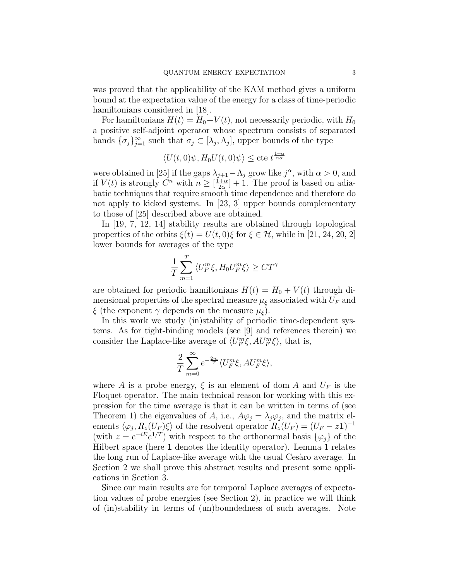was proved that the applicability of the KAM method gives a uniform bound at the expectation value of the energy for a class of time-periodic hamiltonians considered in [18].

For hamiltonians  $H(t) = H_0 + V(t)$ , not necessarily periodic, with  $H_0$ a positive self-adjoint operator whose spectrum consists of separated bands  $\{\sigma_j\}_{j=1}^{\infty}$  such that  $\sigma_j \subset [\lambda_j, \Lambda_j]$ , upper bounds of the type

$$
\langle U(t,0)\psi, H_0U(t,0)\psi \rangle \leq \text{cte} \ t^{\frac{1+\alpha}{n\alpha}}
$$

were obtained in [25] if the gaps  $\lambda_{j+1} - \Lambda_j$  grow like  $j^{\alpha}$ , with  $\alpha > 0$ , and if  $V(t)$  is strongly  $C^n$  with  $n \geq \left[\frac{1+\alpha}{2\alpha}\right]$  $\frac{1+\alpha}{2\alpha}$  + 1. The proof is based on adiabatic techniques that require smooth time dependence and therefore do not apply to kicked systems. In [23, 3] upper bounds complementary to those of [25] described above are obtained.

In [19, 7, 12, 14] stability results are obtained through topological properties of the orbits  $\xi(t) = U(t,0)\xi$  for  $\xi \in \mathcal{H}$ , while in [21, 24, 20, 2] lower bounds for averages of the type

$$
\frac{1}{T} \sum_{m=1}^{T} \langle U_F^m \xi, H_0 U_F^m \xi \rangle \geq C T^{\gamma}
$$

are obtained for periodic hamiltonians  $H(t) = H_0 + V(t)$  through dimensional properties of the spectral measure  $\mu_{\xi}$  associated with  $U_F$  and  $\xi$  (the exponent  $\gamma$  depends on the measure  $\mu_{\xi}$ ).

In this work we study (in)stability of periodic time-dependent systems. As for tight-binding models (see [9] and references therein) we consider the Laplace-like average of  $\langle U_F^m \xi, A U_F^m \xi \rangle$ , that is,

$$
\frac{2}{T} \sum_{m=0}^{\infty} e^{-\frac{2m}{T}} \langle U_F^m \xi, A U_F^m \xi \rangle,
$$

where A is a probe energy,  $\xi$  is an element of dom A and  $U_F$  is the Floquet operator. The main technical reason for working with this expression for the time average is that it can be written in terms of (see Theorem 1) the eigenvalues of A, i.e.,  $A\varphi_j = \lambda_j \varphi_j$ , and the matrix elements  $\langle \varphi_j, R_z(U_F) \xi \rangle$  of the resolvent operator  $R_z(U_F) = (U_F - z1)^{-1}$ (with  $z = e^{-iE}e^{i/T}$ ) with respect to the orthonormal basis  $\{\varphi_j\}$  of the Hilbert space (here 1 denotes the identity operator). Lemma 1 relates the long run of Laplace-like average with the usual Cesaro average. In Section 2 we shall prove this abstract results and present some applications in Section 3.

Since our main results are for temporal Laplace averages of expectation values of probe energies (see Section 2), in practice we will think of (in)stability in terms of (un)boundedness of such averages. Note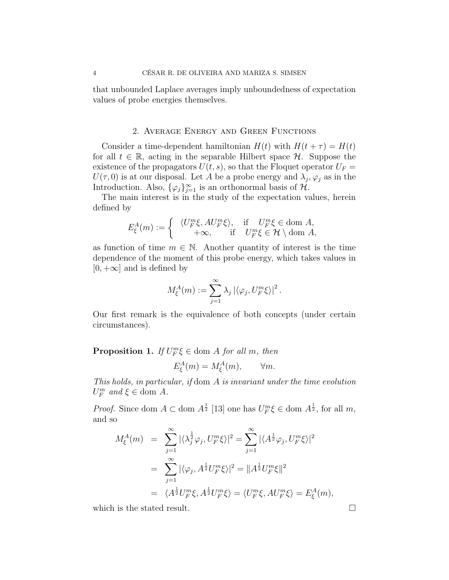that unbounded Laplace averages imply unboundedness of expectation values of probe energies themselves.

### 2. Average Energy and Green Functions

Consider a time-dependent hamiltonian  $H(t)$  with  $H(t + \tau) = H(t)$ for all  $t \in \mathbb{R}$ , acting in the separable Hilbert space  $\mathcal{H}$ . Suppose the existence of the propagators  $U(t, s)$ , so that the Floquet operator  $U_F =$  $U(\tau,0)$  is at our disposal. Let A be a probe energy and  $\lambda_j, \varphi_j$  as in the Introduction. Also,  $\{\varphi_j\}_{j=1}^{\infty}$  is an orthonormal basis of  $\mathcal{H}$ .

The main interest is in the study of the expectation values, herein defined by

$$
E_{\xi}^{A}(m) := \begin{cases} \langle U_{F}^{m}\xi, AU_{F}^{m}\xi \rangle, & \text{if } U_{F}^{m}\xi \in \text{dom } A, \\ +\infty, & \text{if } U_{F}^{m}\xi \in \mathcal{H} \setminus \text{dom } A, \end{cases}
$$

as function of time  $m \in \mathbb{N}$ . Another quantity of interest is the time dependence of the moment of this probe energy, which takes values in  $[0, +\infty]$  and is defined by

$$
M_{\xi}^{A}(m) := \sum_{j=1}^{\infty} \lambda_j \left| \langle \varphi_j, U_F^m \xi \rangle \right|^2.
$$

Our first remark is the equivalence of both concepts (under certain circumstances).

**Proposition 1.** If  $U_F^m \xi \in \text{dom } A$  for all m, then

$$
E_{\xi}^{A}(m) = M_{\xi}^{A}(m), \qquad \forall m.
$$

This holds, in particular, if dom A is invariant under the time evolution  $U_F^m$  and  $\xi \in$  dom A.

*Proof.* Since dom  $A \subset \text{dom } A^{\frac{1}{2}}$  [13] one has  $U_F^m \xi \in \text{dom } A^{\frac{1}{2}}$ , for all m, and so

$$
M_{\xi}^{A}(m) = \sum_{j=1}^{\infty} |\langle \lambda_j^{\frac{1}{2}} \varphi_j, U_F^m \xi \rangle|^2 = \sum_{j=1}^{\infty} |\langle A^{\frac{1}{2}} \varphi_j, U_F^m \xi \rangle|^2
$$
  

$$
= \sum_{j=1}^{\infty} |\langle \varphi_j, A^{\frac{1}{2}} U_F^m \xi \rangle|^2 = ||A^{\frac{1}{2}} U_F^m \xi||^2
$$
  

$$
= \langle A^{\frac{1}{2}} U_F^m \xi, A^{\frac{1}{2}} U_F^m \xi \rangle = \langle U_F^m \xi, A U_F^m \xi \rangle = E_{\xi}^{A}(m),
$$

which is the stated result.  $\square$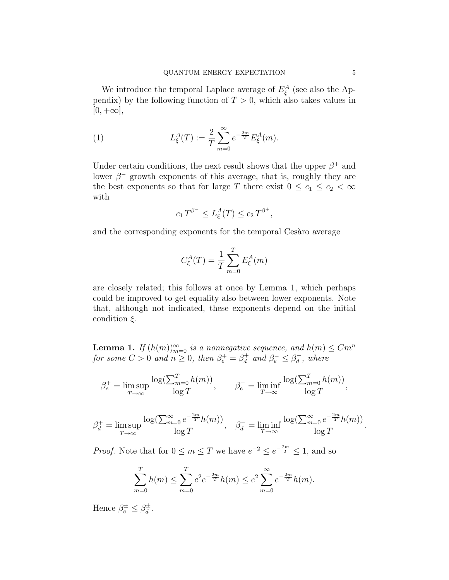We introduce the temporal Laplace average of  $E_{\xi}^{A}$  (see also the Appendix) by the following function of  $T > 0$ , which also takes values in  $[0, +\infty],$ 

(1) 
$$
L_{\xi}^{A}(T) := \frac{2}{T} \sum_{m=0}^{\infty} e^{-\frac{2m}{T}} E_{\xi}^{A}(m).
$$

Under certain conditions, the next result shows that the upper  $\beta^+$  and lower  $\beta^-$  growth exponents of this average, that is, roughly they are the best exponents so that for large T there exist  $0 \leq c_1 \leq c_2 < \infty$ with

$$
c_1 T^{\beta^-} \le L_\xi^A(T) \le c_2 T^{\beta^+},
$$

and the corresponding exponents for the temporal Cesaro average

$$
C_{\xi}^{A}(T) = \frac{1}{T} \sum_{m=0}^{T} E_{\xi}^{A}(m)
$$

are closely related; this follows at once by Lemma 1, which perhaps could be improved to get equality also between lower exponents. Note that, although not indicated, these exponents depend on the initial condition  $\xi$ .

**Lemma 1.** If  $(h(m))_{m=0}^{\infty}$  is a nonnegative sequence, and  $h(m) \leq Cm^{n}$ for some  $C > 0$  and  $n \geq 0$ , then  $\beta_e^+ = \beta_d^+$  $\beta_d^+$  and  $\beta_e^- \leq \beta_d^ \bar{d}$ , where

$$
\beta_e^+ = \limsup_{T \to \infty} \frac{\log(\sum_{m=0}^T h(m))}{\log T}, \qquad \beta_e^- = \liminf_{T \to \infty} \frac{\log(\sum_{m=0}^T h(m))}{\log T},
$$

$$
\beta_d^+ = \limsup_{T \to \infty} \frac{\log(\sum_{m=0}^{\infty} e^{-\frac{2m}{T}} h(m))}{\log T}, \quad \beta_d^- = \liminf_{T \to \infty} \frac{\log(\sum_{m=0}^{\infty} e^{-\frac{2m}{T}} h(m))}{\log T}.
$$

*Proof.* Note that for  $0 \le m \le T$  we have  $e^{-2} \le e^{-\frac{2m}{T}} \le 1$ , and so

$$
\sum_{m=0}^{T} h(m) \le \sum_{m=0}^{T} e^2 e^{-\frac{2m}{T}} h(m) \le e^2 \sum_{m=0}^{\infty} e^{-\frac{2m}{T}} h(m).
$$

Hence  $\beta_e^{\pm} \leq \beta_d^{\pm}$  $\frac{d}{d}$ .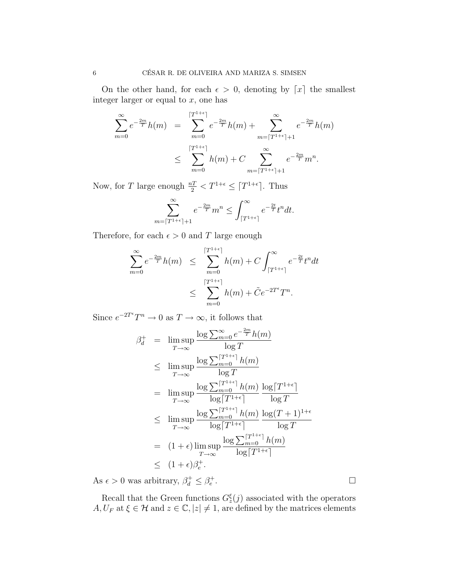On the other hand, for each  $\epsilon > 0$ , denoting by [x] the smallest integer larger or equal to  $x$ , one has

$$
\sum_{m=0}^{\infty} e^{-\frac{2m}{T}} h(m) = \sum_{m=0}^{\lceil T^{1+\epsilon} \rceil} e^{-\frac{2m}{T}} h(m) + \sum_{m=\lceil T^{1+\epsilon} \rceil+1}^{\infty} e^{-\frac{2m}{T}} h(m)
$$
  

$$
\leq \sum_{m=0}^{\lceil T^{1+\epsilon} \rceil} h(m) + C \sum_{m=\lceil T^{1+\epsilon} \rceil+1}^{\infty} e^{-\frac{2m}{T}} m^{n}.
$$

Now, for T large enough  $\frac{n}{2} < T^{1+\epsilon} \leq \lceil T^{1+\epsilon} \rceil$ . Thus

$$
\sum_{m=\lceil T^{1+\epsilon} \rceil+1}^{\infty} e^{-\frac{2m}{T}} m^n \le \int_{\lceil T^{1+\epsilon} \rceil}^{\infty} e^{-\frac{2t}{T}} t^n dt.
$$

Therefore, for each  $\epsilon > 0$  and T large enough

$$
\sum_{m=0}^{\infty} e^{-\frac{2m}{T}} h(m) \leq \sum_{m=0}^{\lceil T^{1+\epsilon} \rceil} h(m) + C \int_{\lceil T^{1+\epsilon} \rceil}^{\infty} e^{-\frac{2t}{T}} t^n dt
$$
  

$$
\leq \sum_{m=0}^{\lceil T^{1+\epsilon} \rceil} h(m) + \tilde{C} e^{-2T^{\epsilon}} T^n.
$$

Since  $e^{-2T^{\epsilon}}T^{n} \to 0$  as  $T \to \infty$ , it follows that

$$
\beta_d^+ = \limsup_{T \to \infty} \frac{\log \sum_{m=0}^{\infty} e^{-\frac{2m}{T}} h(m)}{\log T}
$$
\n
$$
\leq \limsup_{T \to \infty} \frac{\log \sum_{m=0}^{\lceil T^{1+\epsilon} \rceil} h(m)}{\log T}
$$
\n
$$
= \limsup_{T \to \infty} \frac{\log \sum_{m=0}^{\lceil T^{1+\epsilon} \rceil} h(m)}{\log \lceil T^{1+\epsilon} \rceil} \frac{\log \lceil T^{1+\epsilon} \rceil}{\log T}
$$
\n
$$
\leq \limsup_{T \to \infty} \frac{\log \sum_{m=0}^{\lceil T^{1+\epsilon} \rceil} h(m)}{\log \lceil T^{1+\epsilon} \rceil} \frac{\log (T+1)^{1+\epsilon}}{\log T}
$$
\n
$$
= (1+\epsilon) \limsup_{T \to \infty} \frac{\log \sum_{m=0}^{\lceil T^{1+\epsilon} \rceil} h(m)}{\log \lceil T^{1+\epsilon} \rceil}
$$
\n
$$
\leq (1+\epsilon)\beta_e^+.
$$

As  $\epsilon > 0$  was arbitrary,  $\beta_d^+ \leq \beta_e^+$ 

Recall that the Green functions  $G_z^{\xi}(j)$  associated with the operators  $A, U_F$  at  $\xi \in \mathcal{H}$  and  $z \in \mathbb{C}, |z| \neq 1$ , are defined by the matrices elements

.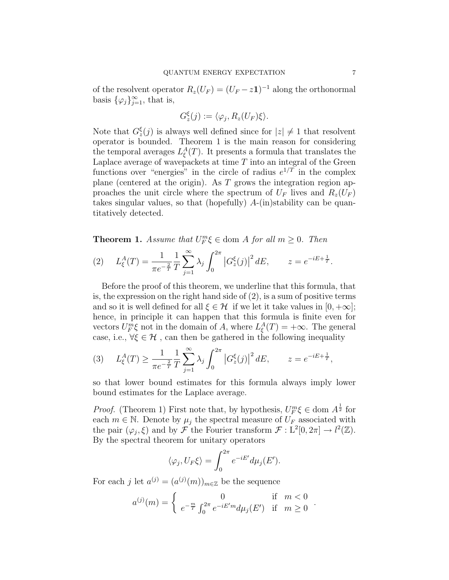of the resolvent operator  $R_z(U_F) = (U_F - z\mathbf{1})^{-1}$  along the orthonormal basis  $\{\varphi_j\}_{j=1}^{\infty}$ , that is,

$$
G_z^{\xi}(j) := \langle \varphi_j, R_z(U_F)\xi \rangle.
$$

Note that  $G_{z}^{\xi}(j)$  is always well defined since for  $|z| \neq 1$  that resolvent operator is bounded. Theorem 1 is the main reason for considering the temporal averages  $L_{\xi}^{A}(T)$ . It presents a formula that translates the Laplace average of wavepackets at time  $T$  into an integral of the Green functions over "energies" in the circle of radius  $e^{1/T}$  in the complex plane (centered at the origin). As  $T$  grows the integration region approaches the unit circle where the spectrum of  $U_F$  lives and  $R_z(U_F)$ takes singular values, so that (hopefully)  $A$ -(in)stability can be quantitatively detected.

**Theorem 1.** Assume that  $U_F^m \xi \in \text{dom } A$  for all  $m \geq 0$ . Then

(2) 
$$
L_{\xi}^{A}(T) = \frac{1}{\pi e^{-\frac{2}{T}}} \frac{1}{T} \sum_{j=1}^{\infty} \lambda_{j} \int_{0}^{2\pi} |G_{z}^{\xi}(j)|^{2} dE, \qquad z = e^{-iE + \frac{1}{T}}.
$$

Before the proof of this theorem, we underline that this formula, that is, the expression on the right hand side of (2), is a sum of positive terms and so it is well defined for all  $\xi \in \mathcal{H}$  if we let it take values in  $[0, +\infty]$ ; hence, in principle it can happen that this formula is finite even for vectors  $U_F^m \xi$  not in the domain of A, where  $L_{\xi}^A(T) = +\infty$ . The general case, i.e.,  $\forall \xi \in \mathcal{H}$ , can then be gathered in the following inequality

(3) 
$$
L_{\xi}^{A}(T) \ge \frac{1}{\pi e^{-\frac{2}{T}}} \frac{1}{T} \sum_{j=1}^{\infty} \lambda_j \int_0^{2\pi} |G_z^{\xi}(j)|^2 dE, \qquad z = e^{-iE + \frac{1}{T}},
$$

so that lower bound estimates for this formula always imply lower bound estimates for the Laplace average.

*Proof.* (Theorem 1) First note that, by hypothesis,  $U_F^m \xi \in \text{dom } A^{\frac{1}{2}}$  for each  $m \in \mathbb{N}$ . Denote by  $\mu_i$  the spectral measure of  $U_F$  associated with the pair  $(\varphi_j, \xi)$  and by  $\mathcal F$  the Fourier transform  $\mathcal F: L^2[0, 2\pi] \to l^2(\mathbb Z)$ . By the spectral theorem for unitary operators

$$
\langle \varphi_j, U_F \xi \rangle = \int_0^{2\pi} e^{-iE'} d\mu_j(E').
$$

For each j let  $a^{(j)} = (a^{(j)}(m))_{m \in \mathbb{Z}}$  be the sequence

$$
a^{(j)}(m) = \begin{cases} 0 & \text{if } m < 0\\ e^{-\frac{m}{T}} \int_0^{2\pi} e^{-iE'm} d\mu_j(E') & \text{if } m \ge 0 \end{cases}.
$$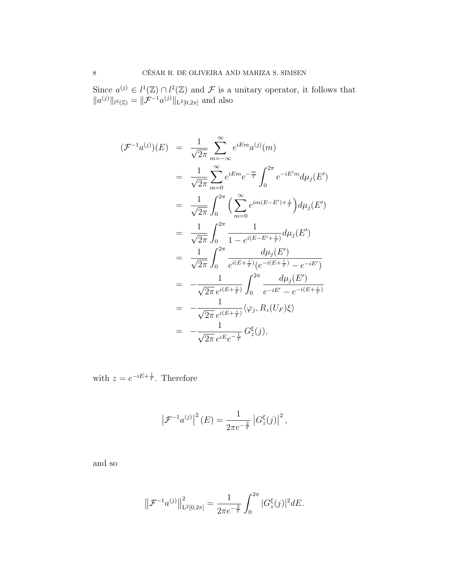Since  $a^{(j)} \in l^1(\mathbb{Z}) \cap l^2(\mathbb{Z})$  and  $\mathcal F$  is a unitary operator, it follows that  $||a^{(j)}||_{l^2(\mathbb{Z})} = ||\mathcal{F}^{-1}a^{(j)}||_{L^2[0,2\pi]}$  and also

$$
(\mathcal{F}^{-1}a^{(j)})(E) = \frac{1}{\sqrt{2\pi}} \sum_{m=-\infty}^{\infty} e^{iE m} a^{(j)}(m)
$$
  
\n
$$
= \frac{1}{\sqrt{2\pi}} \sum_{m=0}^{\infty} e^{iE m} e^{-\frac{m}{T}} \int_{0}^{2\pi} e^{-iE' m} d\mu_{j}(E')
$$
  
\n
$$
= \frac{1}{\sqrt{2\pi}} \int_{0}^{2\pi} \left( \sum_{m=0}^{\infty} e^{im(E-E') + \frac{i}{T}} \right) d\mu_{j}(E')
$$
  
\n
$$
= \frac{1}{\sqrt{2\pi}} \int_{0}^{2\pi} \frac{1}{1 - e^{i(E-E' + \frac{i}{T})}} d\mu_{j}(E')
$$
  
\n
$$
= \frac{1}{\sqrt{2\pi}} \int_{0}^{2\pi} \frac{d\mu_{j}(E')}{e^{i(E + \frac{i}{T})} (e^{-i(E + \frac{i}{T})} - e^{-iE'})}
$$
  
\n
$$
= -\frac{1}{\sqrt{2\pi} e^{i(E + \frac{i}{T})}} \int_{0}^{2\pi} \frac{d\mu_{j}(E')}{e^{-iE'} - e^{-i(E + \frac{i}{T})}}
$$
  
\n
$$
= -\frac{1}{\sqrt{2\pi} e^{i(E + \frac{i}{T})}} \langle \varphi_{j}, R_{z}(U_{F}) \xi \rangle
$$
  
\n
$$
= -\frac{1}{\sqrt{2\pi} e^{iE} e^{-\frac{1}{T}}} G_{z}^{\xi}(j),
$$

with  $z = e^{-iE + \frac{1}{T}}$ . Therefore

$$
\left| \mathcal{F}^{-1} a^{(j)} \right|^2 (E) = \frac{1}{2\pi e^{-\frac{2}{T}}} \left| G_z^{\xi}(j) \right|^2,
$$

and so

$$
\left\|\mathcal{F}^{-1}a^{(j)}\right\|_{\mathrm{L}^2[0,2\pi]}^2 = \frac{1}{2\pi e^{-\frac{2}{T}}}\int_0^{2\pi}|G_z^{\xi}(j)|^2dE.
$$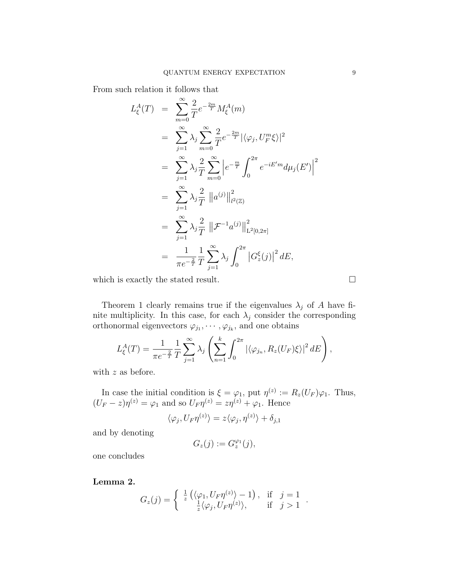From such relation it follows that

$$
L_{\xi}^{A}(T) = \sum_{m=0}^{\infty} \frac{2}{T} e^{-\frac{2m}{T}} M_{\xi}^{A}(m)
$$
  
\n
$$
= \sum_{j=1}^{\infty} \lambda_{j} \sum_{m=0}^{\infty} \frac{2}{T} e^{-\frac{2m}{T}} |\langle \varphi_{j}, U_{F}^{m} \xi \rangle|^{2}
$$
  
\n
$$
= \sum_{j=1}^{\infty} \lambda_{j} \frac{2}{T} \sum_{m=0}^{\infty} \left| e^{-\frac{m}{T}} \int_{0}^{2\pi} e^{-iE'm} d\mu_{j}(E') \right|^{2}
$$
  
\n
$$
= \sum_{j=1}^{\infty} \lambda_{j} \frac{2}{T} ||a^{(j)}||_{l^{2}(\mathbb{Z})}^{2}
$$
  
\n
$$
= \sum_{j=1}^{\infty} \lambda_{j} \frac{2}{T} ||\mathcal{F}^{-1} a^{(j)}||_{L^{2}[0,2\pi]}^{2}
$$
  
\n
$$
= \frac{1}{\pi e^{-\frac{2}{T}}} \frac{1}{T} \sum_{j=1}^{\infty} \lambda_{j} \int_{0}^{2\pi} |G_{z}^{\xi}(j)|^{2} dE,
$$

which is exactly the stated result.  $\Box$ 

Theorem 1 clearly remains true if the eigenvalues  $\lambda_j$  of A have finite multiplicity. In this case, for each  $\lambda_j$  consider the corresponding orthonormal eigenvectors  $\varphi_{j_1}, \cdots, \varphi_{j_k}$ , and one obtains

$$
L_{\xi}^{A}(T) = \frac{1}{\pi e^{-\frac{2}{T}}} \frac{1}{T} \sum_{j=1}^{\infty} \lambda_j \left( \sum_{n=1}^{k} \int_0^{2\pi} \left| \langle \varphi_{j_n}, R_z(U_F) \xi \rangle \right|^2 dE \right),
$$

with z as before.

In case the initial condition is  $\xi = \varphi_1$ , put  $\eta^{(z)} := R_z(U_F)\varphi_1$ . Thus,  $(U_F - z)\eta^{(z)} = \varphi_1$  and so  $U_F \eta^{(z)} = z\eta^{(z)} + \varphi_1$ . Hence

$$
\langle \varphi_j, U_F \eta^{(z)} \rangle = z \langle \varphi_j, \eta^{(z)} \rangle + \delta_{j,1}
$$

and by denoting

$$
G_z(j) := G_z^{\varphi_1}(j),
$$

one concludes

Lemma 2.

$$
G_z(j) = \begin{cases} \frac{1}{z} \left( \langle \varphi_1, U_F \eta^{(z)} \rangle - 1 \right), & \text{if } j = 1 \\ \frac{1}{z} \langle \varphi_j, U_F \eta^{(z)} \rangle, & \text{if } j > 1 \end{cases}.
$$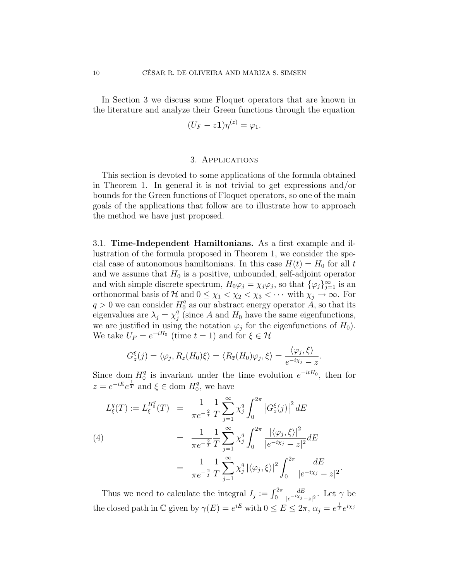In Section 3 we discuss some Floquet operators that are known in the literature and analyze their Green functions through the equation

$$
(U_F - z\mathbf{1})\eta^{(z)} = \varphi_1.
$$

## 3. Applications

This section is devoted to some applications of the formula obtained in Theorem 1. In general it is not trivial to get expressions and/or bounds for the Green functions of Floquet operators, so one of the main goals of the applications that follow are to illustrate how to approach the method we have just proposed.

3.1. Time-Independent Hamiltonians. As a first example and illustration of the formula proposed in Theorem 1, we consider the special case of autonomous hamiltonians. In this case  $H(t) = H_0$  for all t and we assume that  $H_0$  is a positive, unbounded, self-adjoint operator and with simple discrete spectrum,  $H_0 \varphi_j = \chi_j \varphi_j$ , so that  $\{\varphi_j\}_{j=1}^{\infty}$  is an orthonormal basis of H and  $0 \leq \chi_1 < \chi_2 < \chi_3 < \cdots$  with  $\chi_j \to \infty$ . For  $q > 0$  we can consider  $H_0^q$  $\frac{q}{0}$  as our abstract energy operator A, so that its eigenvalues are  $\lambda_j = \chi_j^q$  $_j^q$  (since A and  $H_0$  have the same eigenfunctions, we are justified in using the notation  $\varphi_j$  for the eigenfunctions of  $H_0$ ). We take  $U_F = e^{-iH_0}$  (time  $t = 1$ ) and for  $\xi \in \mathcal{H}$ 

$$
G_z^{\xi}(j) = \langle \varphi_j, R_z(H_0)\xi \rangle = \langle R_{\overline{z}}(H_0)\varphi_j, \xi \rangle = \frac{\langle \varphi_j, \xi \rangle}{e^{-i\chi_j} - z}.
$$

Since dom  $H_0^q$  $_0^q$  is invariant under the time evolution  $e^{-itH_0}$ , then for  $z = e^{-iE}e^{\frac{1}{T}}$  and  $\xi \in$  dom  $H_0^q$  $_0^q$ , we have

$$
L_{\xi}^{q}(T) := L_{\xi}^{H_{0}^{q}}(T) = \frac{1}{\pi e^{-\frac{2}{T}}} \frac{1}{T} \sum_{j=1}^{\infty} \chi_{j}^{q} \int_{0}^{2\pi} \left| G_{z}^{\xi}(j) \right|^{2} dE
$$
\n
$$
(4) = \frac{1}{\pi e^{-\frac{2}{T}}} \frac{1}{T} \sum_{j=1}^{\infty} \chi_{j}^{q} \int_{0}^{2\pi} \frac{\left| \langle \varphi_{j}, \xi \rangle \right|^{2}}{\left| e^{-i\chi_{j}} - z \right|^{2}} dE
$$
\n
$$
= \frac{1}{\pi e^{-\frac{2}{T}}} \frac{1}{T} \sum_{j=1}^{\infty} \chi_{j}^{q} \left| \langle \varphi_{j}, \xi \rangle \right|^{2} \int_{0}^{2\pi} \frac{dE}{\left| e^{-i\chi_{j}} - z \right|}
$$

Thus we need to calculate the integral  $I_j := \int_0^{2\pi}$ dE  $\frac{dE}{|e^{-i\chi_j}-z|^2}$ . Let  $\gamma$  be the closed path in  $\mathbb C$  given by  $\gamma(E) = e^{iE}$  with  $0 \le E \le 2\pi$ ,  $\alpha_j = e^{\frac{1}{T}}e^{i\chi_j}$ 

 $\overline{2}$ .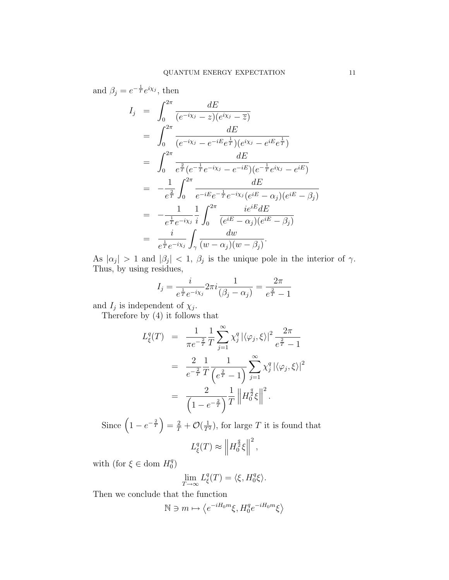and 
$$
\beta_j = e^{-\frac{1}{T}} e^{i\chi_j}
$$
, then  
\n
$$
I_j = \int_0^{2\pi} \frac{dE}{(e^{-i\chi_j} - z)(e^{i\chi_j} - \overline{z})}
$$
\n
$$
= \int_0^{2\pi} \frac{dE}{(e^{-i\chi_j} - e^{-iE}e^{\frac{1}{T}})(e^{i\chi_j} - e^{iE}e^{\frac{1}{T}})}
$$
\n
$$
= \int_0^{2\pi} \frac{dE}{e^{\frac{2}{T}}(e^{-\frac{1}{T}}e^{-i\chi_j} - e^{-iE})(e^{-\frac{1}{T}}e^{i\chi_j} - e^{iE})}
$$
\n
$$
= -\frac{1}{e^{\frac{2}{T}}} \int_0^{2\pi} \frac{dE}{e^{-iE}e^{-\frac{1}{T}}e^{-i\chi_j}(e^{iE} - \alpha_j)(e^{iE} - \beta_j)}
$$
\n
$$
= -\frac{1}{e^{\frac{1}{T}}e^{-i\chi_j}} \frac{1}{i} \int_0^{2\pi} \frac{ie^{iE}dE}{(e^{iE} - \alpha_j)(e^{iE} - \beta_j)}
$$
\n
$$
= \frac{i}{e^{\frac{1}{T}}e^{-i\chi_j}} \int_{\gamma} \frac{dw}{(w - \alpha_j)(w - \beta_j)}.
$$

As  $|\alpha_j| > 1$  and  $|\beta_j| < 1$ ,  $\beta_j$  is the unique pole in the interior of  $\gamma$ . Thus, by using residues,

$$
I_j = \frac{i}{e^{\frac{1}{T}}e^{-i\chi_j}} 2\pi i \frac{1}{(\beta_j - \alpha_j)} = \frac{2\pi}{e^{\frac{2}{T}} - 1}
$$

and  $I_j$  is independent of  $\chi_j$ .

Therefore by (4) it follows that

$$
L_{\xi}^{q}(T) = \frac{1}{\pi e^{-\frac{2}{T}}} \frac{1}{T} \sum_{j=1}^{\infty} \chi_{j}^{q} |\langle \varphi_{j}, \xi \rangle|^{2} \frac{2\pi}{e^{\frac{2}{T}} - 1}
$$
  

$$
= \frac{2}{e^{-\frac{2}{T}}} \frac{1}{T} \frac{1}{\left(e^{\frac{2}{T}} - 1\right)} \sum_{j=1}^{\infty} \chi_{j}^{q} |\langle \varphi_{j}, \xi \rangle|^{2}
$$
  

$$
= \frac{2}{\left(1 - e^{-\frac{2}{T}}\right)} \frac{1}{T} \left\| H_{0}^{\frac{q}{2}} \xi \right\|^{2}.
$$

Since  $\left(1 - e^{-\frac{2}{T}}\right) = \frac{2}{T} + \mathcal{O}(\frac{1}{T^2})$ , for large T it is found that 2 ,

$$
L^q_{\xi}(T) \approx \left\| H_0^{\frac{q}{2}} \xi \right\|
$$

with (for  $\xi \in$  dom  $H_0^q$  $\left(\begin{smallmatrix} q\ 0 \end{smallmatrix}\right)$ 

$$
\lim_{T \to \infty} L_{\xi}^{q}(T) = \langle \xi, H_0^{q} \xi \rangle.
$$

Then we conclude that the function

$$
\mathbb{N} \ni m \mapsto \left\langle e^{-iH_0m}\xi, H_0^q e^{-iH_0m}\xi \right\rangle
$$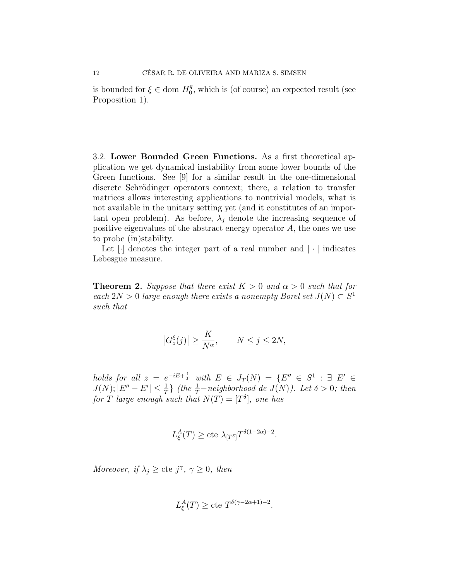is bounded for  $\xi \in$  dom  $H_0^q$  $_{0}^{q}$ , which is (of course) an expected result (see Proposition 1).

3.2. Lower Bounded Green Functions. As a first theoretical application we get dynamical instability from some lower bounds of the Green functions. See [9] for a similar result in the one-dimensional discrete Schrödinger operators context; there, a relation to transfer matrices allows interesting applications to nontrivial models, what is not available in the unitary setting yet (and it constitutes of an important open problem). As before,  $\lambda_j$  denote the increasing sequence of positive eigenvalues of the abstract energy operator  $A$ , the ones we use to probe (in)stability.

Let  $\lceil \cdot \rceil$  denotes the integer part of a real number and  $\lceil \cdot \rceil$  indicates Lebesgue measure.

**Theorem 2.** Suppose that there exist  $K > 0$  and  $\alpha > 0$  such that for each  $2N > 0$  large enough there exists a nonempty Borel set  $J(N) \subset S^1$ such that

$$
\left|G_z^{\xi}(j)\right| \ge \frac{K}{N^{\alpha}}, \qquad N \le j \le 2N,
$$

holds for all  $z = e^{-iE + \frac{1}{T}}$  with  $E \in J_T(N) = \{E'' \in S^1 : \exists E' \in$  $J(N); |E'' - E'| \leq \frac{1}{T}$  (the  $\frac{1}{T}$ -neighborhood de  $J(N)$ ). Let  $\delta > 0$ ; then for T large enough such that  $N(T) = [T^{\delta}],$  one has

$$
L_{\xi}^{A}(T) \geq
$$
cte  $\lambda_{[T^{\delta}]} T^{\delta(1-2\alpha)-2}$ .

Moreover, if  $\lambda_j \geq$  cte j<sup> $\gamma$ </sup>,  $\gamma \geq 0$ , then

$$
L_{\xi}^{A}(T) \geq \text{cte } T^{\delta(\gamma - 2\alpha + 1) - 2}.
$$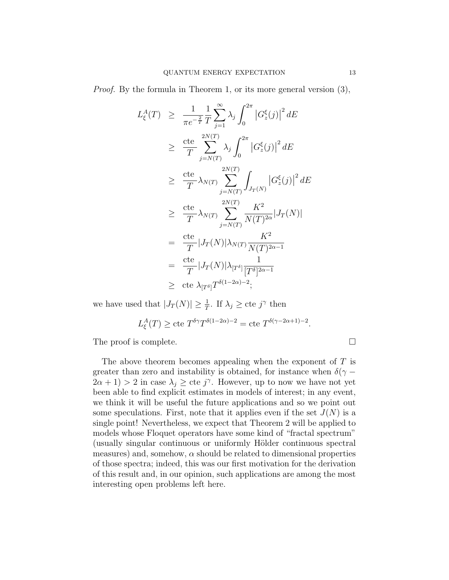Proof. By the formula in Theorem 1, or its more general version (3),

$$
L_{\xi}^{A}(T) \geq \frac{1}{\pi e^{-\frac{2}{T}}} \frac{1}{T} \sum_{j=1}^{\infty} \lambda_{j} \int_{0}^{2\pi} \left| G_{z}^{\xi}(j) \right|^{2} dE
$$
  
\n
$$
\geq \frac{\text{cte}}{T} \sum_{j=N(T)}^{2N(T)} \lambda_{j} \int_{0}^{2\pi} \left| G_{z}^{\xi}(j) \right|^{2} dE
$$
  
\n
$$
\geq \frac{\text{cte}}{T} \lambda_{N(T)} \sum_{j=N(T)}^{2N(T)} \int_{J_{T}(N)} \left| G_{z}^{\xi}(j) \right|^{2} dE
$$
  
\n
$$
\geq \frac{\text{cte}}{T} \lambda_{N(T)} \sum_{j=N(T)}^{2N(T)} \frac{K^{2}}{N(T)^{2\alpha}} |J_{T}(N)|
$$
  
\n
$$
= \frac{\text{cte}}{T} |J_{T}(N)| \lambda_{N(T)} \frac{K^{2}}{N(T)^{2\alpha-1}}
$$
  
\n
$$
= \frac{\text{cte}}{T} |J_{T}(N)| \lambda_{[T^{\delta}]} \frac{1}{[T^{\delta}]^{2\alpha-1}}
$$
  
\n
$$
\geq \text{cte} \lambda_{[T^{\delta}]} T^{\delta(1-2\alpha)-2};
$$

we have used that  $|J_T(N)| \geq \frac{1}{T}$ . If  $\lambda_j \geq$  cte  $j^{\gamma}$  then

$$
L^A_{\xi}(T) \ge \text{cte} \; T^{\delta \gamma} T^{\delta(1-2\alpha)-2} = \text{cte} \; T^{\delta(\gamma - 2\alpha + 1) - 2}.
$$

The proof is complete.

The above theorem becomes appealing when the exponent of  $T$  is greater than zero and instability is obtained, for instance when  $\delta(\gamma 2\alpha + 1 > 2$  in case  $\lambda_j \geq$  cte j<sup> $\gamma$ </sup>. However, up to now we have not yet been able to find explicit estimates in models of interest; in any event, we think it will be useful the future applications and so we point out some speculations. First, note that it applies even if the set  $J(N)$  is a single point! Nevertheless, we expect that Theorem 2 will be applied to models whose Floquet operators have some kind of "fractal spectrum" (usually singular continuous or uniformly Hölder continuous spectral measures) and, somehow,  $\alpha$  should be related to dimensional properties of those spectra; indeed, this was our first motivation for the derivation of this result and, in our opinion, such applications are among the most interesting open problems left here.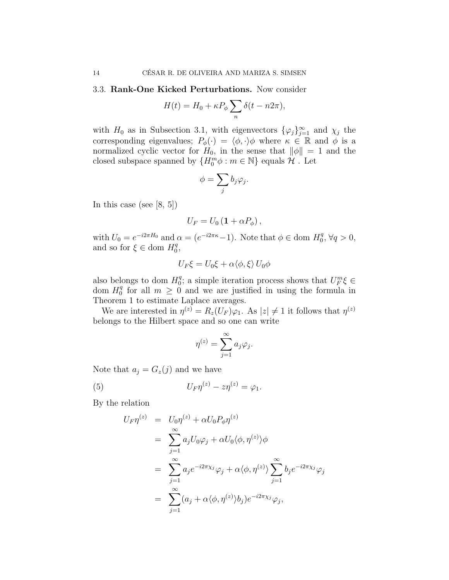### 3.3. Rank-One Kicked Perturbations. Now consider

$$
H(t) = H_0 + \kappa P_{\phi} \sum_n \delta(t - n2\pi),
$$

with  $H_0$  as in Subsection 3.1, with eigenvectors  $\{\varphi_j\}_{j=1}^{\infty}$  and  $\chi_j$  the corresponding eigenvalues;  $P_{\phi}(\cdot) = \langle \phi, \cdot \rangle \phi$  where  $\kappa \in \mathbb{R}$  and  $\phi$  is a normalized cyclic vector for  $H_0$ , in the sense that  $\|\phi\| = 1$  and the closed subspace spanned by  ${H_0^m \phi : m \in \mathbb{N}}$  equals  $\mathcal{H}$ . Let

$$
\phi = \sum_j b_j \varphi_j.
$$

In this case (see [8, 5])

$$
U_F = U_0 \left( \mathbf{1} + \alpha P_{\phi} \right),
$$

with  $U_0 = e^{-i2\pi H_0}$  and  $\alpha = (e^{-i2\pi\kappa} - 1)$ . Note that  $\phi \in \text{dom } H_0^q$  $q^q, \forall q > 0,$ and so for  $\xi \in$  dom  $H_0^q$  $_{0}^{q},$ 

$$
U_F \xi = U_0 \xi + \alpha \langle \phi, \xi \rangle U_0 \phi
$$

also belongs to dom  $H_0^q$  $\mathcal{U}_0^q$ ; a simple iteration process shows that  $U_F^m \xi \in$ dom  $H_0^q$  $_0^q$  for all  $m \geq 0$  and we are justified in using the formula in Theorem 1 to estimate Laplace averages.

We are interested in  $\eta^{(z)} = R_z(U_F)\varphi_1$ . As  $|z| \neq 1$  it follows that  $\eta^{(z)}$ belongs to the Hilbert space and so one can write

$$
\eta^{(z)} = \sum_{j=1}^{\infty} a_j \varphi_j.
$$

Note that  $a_j = G_z(j)$  and we have

(5) 
$$
U_F \eta^{(z)} - z \eta^{(z)} = \varphi_1.
$$

By the relation

$$
U_F \eta^{(z)} = U_0 \eta^{(z)} + \alpha U_0 P_{\phi} \eta^{(z)}
$$
  
= 
$$
\sum_{j=1}^{\infty} a_j U_0 \varphi_j + \alpha U_0 \langle \phi, \eta^{(z)} \rangle \phi
$$
  
= 
$$
\sum_{j=1}^{\infty} a_j e^{-i2\pi \chi_j} \varphi_j + \alpha \langle \phi, \eta^{(z)} \rangle \sum_{j=1}^{\infty} b_j e^{-i2\pi \chi_j} \varphi_j
$$
  
= 
$$
\sum_{j=1}^{\infty} (a_j + \alpha \langle \phi, \eta^{(z)} \rangle b_j) e^{-i2\pi \chi_j} \varphi_j,
$$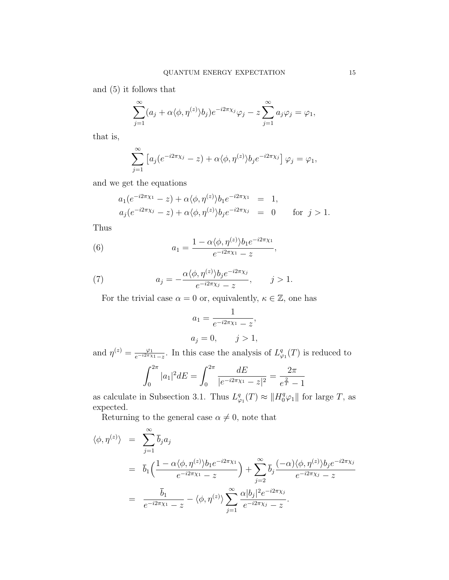and (5) it follows that

$$
\sum_{j=1}^{\infty} (a_j + \alpha \langle \phi, \eta^{(z)} \rangle b_j) e^{-i2\pi \chi_j} \varphi_j - z \sum_{j=1}^{\infty} a_j \varphi_j = \varphi_1,
$$

that is,

$$
\sum_{j=1}^{\infty} \left[ a_j (e^{-i2\pi\chi_j} - z) + \alpha \langle \phi, \eta^{(z)} \rangle b_j e^{-i2\pi\chi_j} \right] \varphi_j = \varphi_1,
$$

and we get the equations

$$
a_1(e^{-i2\pi\chi_1} - z) + \alpha \langle \phi, \eta^{(z)} \rangle b_1 e^{-i2\pi\chi_1} = 1,
$$
  
\n
$$
a_j(e^{-i2\pi\chi_j} - z) + \alpha \langle \phi, \eta^{(z)} \rangle b_j e^{-i2\pi\chi_j} = 0 \quad \text{for } j > 1.
$$

Thus

(6) 
$$
a_1 = \frac{1 - \alpha \langle \phi, \eta^{(z)} \rangle b_1 e^{-i2\pi \chi_1}}{e^{-i2\pi \chi_1} - z},
$$

(7) 
$$
a_j = -\frac{\alpha \langle \phi, \eta^{(z)} \rangle b_j e^{-i2\pi \chi_j}}{e^{-i2\pi \chi_j} - z}, \quad j > 1.
$$

For the trivial case  $\alpha = 0$  or, equivalently,  $\kappa \in \mathbb{Z}$ , one has

$$
a_1 = \frac{1}{e^{-i2\pi\chi_1} - z},
$$
  
\n
$$
a_j = 0, \quad j > 1,
$$

and  $\eta^{(z)} = \frac{\varphi_1}{e^{-i2\pi\chi}}$  $\frac{\varphi_1}{e^{-i2\pi\chi_1}-z}$ . In this case the analysis of  $L^q_{\varphi_1}(T)$  is reduced to  $a^2$ π  $\cdot 2\pi$ 

$$
\int_0^{2\pi} |a_1|^2 dE = \int_0^{2\pi} \frac{dE}{|e^{-i2\pi x_1} - z|^2} = \frac{2\pi}{e^{\frac{2}{T}} - 1}
$$

as calculate in Subsection 3.1. Thus  $L^q_{\varphi_1}(T) \approx ||H_0^q \varphi_1||$  for large T, as expected.

Returning to the general case  $\alpha \neq 0$ , note that

$$
\langle \phi, \eta^{(z)} \rangle = \sum_{j=1}^{\infty} \overline{b}_j a_j
$$
  
=  $\overline{b}_1 \Big( \frac{1 - \alpha \langle \phi, \eta^{(z)} \rangle b_1 e^{-i2\pi \chi_1}}{e^{-i2\pi \chi_1} - z} \Big) + \sum_{j=2}^{\infty} \overline{b}_j \frac{(-\alpha) \langle \phi, \eta^{(z)} \rangle b_j e^{-i2\pi \chi_j}}{e^{-i2\pi \chi_j} - z}$   
=  $\frac{\overline{b}_1}{e^{-i2\pi \chi_1} - z} - \langle \phi, \eta^{(z)} \rangle \sum_{j=1}^{\infty} \frac{\alpha |b_j|^2 e^{-i2\pi \chi_j}}{e^{-i2\pi \chi_j} - z}.$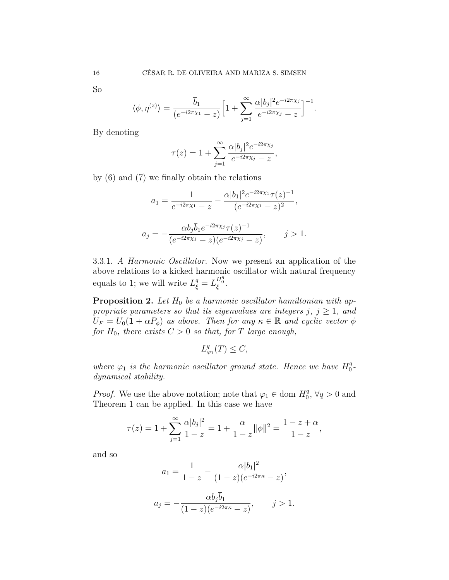So

$$
\langle \phi, \eta^{(z)} \rangle = \frac{\overline{b}_1}{(e^{-i2\pi \chi_1} - z)} \Big[ 1 + \sum_{j=1}^{\infty} \frac{\alpha |b_j|^2 e^{-i2\pi \chi_j}}{e^{-i2\pi \chi_j} - z} \Big]^{-1}.
$$

By denoting

$$
\tau(z) = 1 + \sum_{j=1}^{\infty} \frac{\alpha |b_j|^2 e^{-i2\pi \chi_j}}{e^{-i2\pi \chi_j} - z},
$$

by (6) and (7) we finally obtain the relations

$$
a_1 = \frac{1}{e^{-i2\pi\chi_1} - z} - \frac{\alpha |b_1|^2 e^{-i2\pi\chi_1} \tau(z)^{-1}}{(e^{-i2\pi\chi_1} - z)^2},
$$

$$
a_j = -\frac{\alpha b_j \overline{b}_1 e^{-i2\pi\chi_j} \tau(z)^{-1}}{(e^{-i2\pi\chi_1} - z)(e^{-i2\pi\chi_j} - z)}, \qquad j > 1.
$$

3.3.1. A Harmonic Oscillator. Now we present an application of the above relations to a kicked harmonic oscillator with natural frequency equals to 1; we will write  $L_{\xi}^{q} = L_{\xi}^{H_{0}^{q}}$ .

**Proposition 2.** Let  $H_0$  be a harmonic oscillator hamiltonian with appropriate parameters so that its eigenvalues are integers j,  $j \geq 1$ , and  $U_F = U_0(1 + \alpha P_{\phi})$  as above. Then for any  $\kappa \in \mathbb{R}$  and cyclic vector  $\phi$ for  $H_0$ , there exists  $C > 0$  so that, for T large enough,

$$
L_{\varphi_1}^q(T) \le C,
$$

where  $\varphi_1$  is the harmonic oscillator ground state. Hence we have  $H_0^q$  $\frac{q}{0}$  – dynamical stability.

*Proof.* We use the above notation; note that  $\varphi_1 \in \text{dom } H_0^q$  $Q_0^q, \forall q > 0$  and Theorem 1 can be applied. In this case we have

$$
\tau(z) = 1 + \sum_{j=1}^{\infty} \frac{\alpha |b_j|^2}{1 - z} = 1 + \frac{\alpha}{1 - z} ||\phi||^2 = \frac{1 - z + \alpha}{1 - z},
$$

and so

$$
a_1 = \frac{1}{1-z} - \frac{\alpha |b_1|^2}{(1-z)(e^{-i2\pi\kappa} - z)},
$$

$$
a_j = -\frac{\alpha b_j \bar{b}_1}{(1-z)(e^{-i2\pi\kappa} - z)}, \qquad j > 1.
$$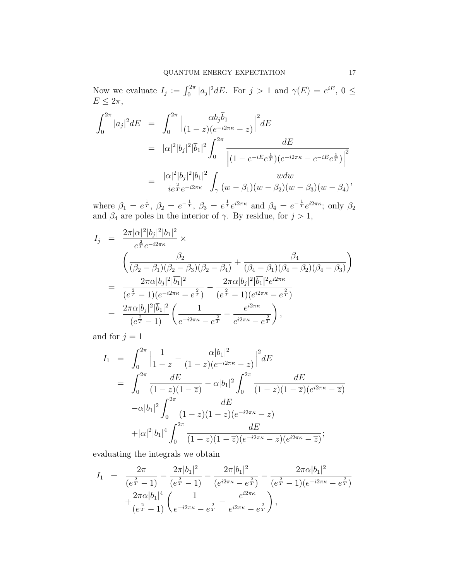Now we evaluate  $I_j := \int_0^{2\pi} |a_j|^2 dE$ . For  $j > 1$  and  $\gamma(E) = e^{iE}$ ,  $0 \leq$  $E \leq 2\pi$ ,

$$
\int_0^{2\pi} |a_j|^2 dE = \int_0^{2\pi} \left| \frac{\alpha b_j \overline{b}_1}{(1-z)(e^{-i2\pi\kappa} - z)} \right|^2 dE
$$
  
\n
$$
= |\alpha|^2 |b_j|^2 |\overline{b}_1|^2 \int_0^{2\pi} \frac{dE}{\left| (1 - e^{-iE}e^{\frac{1}{T}})(e^{-i2\pi\kappa} - e^{-iE}e^{\frac{1}{T}}) \right|^2}
$$
  
\n
$$
= \frac{|\alpha|^2 |b_j|^2 |\overline{b}_1|^2}{ie^{\frac{2}{T}} e^{-i2\pi\kappa}} \int_{\gamma} \frac{w dw}{(w - \beta_1)(w - \beta_2)(w - \beta_3)(w - \beta_4)},
$$

where  $\beta_1 = e^{\frac{1}{T}}, \beta_2 = e^{-\frac{1}{T}}, \beta_3 = e^{\frac{1}{T}}e^{i2\pi\kappa}$  and  $\beta_4 = e^{-\frac{1}{T}}e^{i2\pi\kappa}$ ; only  $\beta_2$ and  $\beta_4$  are poles in the interior of  $\gamma$ . By residue, for  $j > 1$ ,

$$
I_j = \frac{2\pi |\alpha|^2 |b_j|^2 |\bar{b}_1|^2}{e^{\frac{2}{T}} e^{-i2\pi\kappa}} \times \n\left( \frac{\beta_2}{(\beta_2 - \beta_1)(\beta_2 - \beta_3)(\beta_2 - \beta_4)} + \frac{\beta_4}{(\beta_4 - \beta_1)(\beta_4 - \beta_2)(\beta_4 - \beta_3)} \right) \n= \frac{2\pi \alpha |b_j|^2 |\bar{b}_1|^2}{(e^{\frac{2}{T}} - 1)(e^{-i2\pi\kappa} - e^{\frac{2}{T}})} - \frac{2\pi \alpha |b_j|^2 |\bar{b}_1|^2 e^{i2\pi\kappa}}{(e^{\frac{2}{T}} - 1)(e^{i2\pi\kappa} - e^{\frac{2}{T}})} \n= \frac{2\pi \alpha |b_j|^2 |\bar{b}_1|^2}{(e^{\frac{2}{T}} - 1)} \left( \frac{1}{e^{-i2\pi\kappa} - e^{\frac{2}{T}}} - \frac{e^{i2\pi\kappa}}{e^{i2\pi\kappa} - e^{\frac{2}{T}}} \right),
$$

and for  $j = 1$ 

$$
I_{1} = \int_{0}^{2\pi} \left| \frac{1}{1-z} - \frac{\alpha |b_{1}|^{2}}{(1-z)(e^{-i2\pi\kappa} - z)} \right|^{2} dE
$$
  
\n
$$
= \int_{0}^{2\pi} \frac{dE}{(1-z)(1-\overline{z})} - \overline{\alpha}|b_{1}|^{2} \int_{0}^{2\pi} \frac{dE}{(1-z)(1-\overline{z})(e^{i2\pi\kappa} - \overline{z})}
$$
  
\n
$$
-\alpha |b_{1}|^{2} \int_{0}^{2\pi} \frac{dE}{(1-z)(1-\overline{z})(e^{-i2\pi\kappa} - z)}
$$
  
\n
$$
+ |\alpha|^{2} |b_{1}|^{4} \int_{0}^{2\pi} \frac{dE}{(1-z)(1-\overline{z})(e^{-i2\pi\kappa} - z)(e^{i2\pi\kappa} - \overline{z})};
$$

evaluating the integrals we obtain

$$
I_1 = \frac{2\pi}{(e^{\frac{2}{T}} - 1)} - \frac{2\pi |b_1|^2}{(e^{\frac{2}{T}} - 1)} - \frac{2\pi |b_1|^2}{(e^{i2\pi\kappa} - e^{\frac{2}{T}})} - \frac{2\pi\alpha |b_1|^2}{(e^{\frac{2}{T}} - 1)(e^{-i2\pi\kappa} - e^{\frac{2}{T}})} + \frac{2\pi\alpha |b_1|^4}{(e^{\frac{2}{T}} - 1)} \left(\frac{1}{e^{-i2\pi\kappa} - e^{\frac{2}{T}}} - \frac{e^{i2\pi\kappa}}{e^{i2\pi\kappa} - e^{\frac{2}{T}}}\right),
$$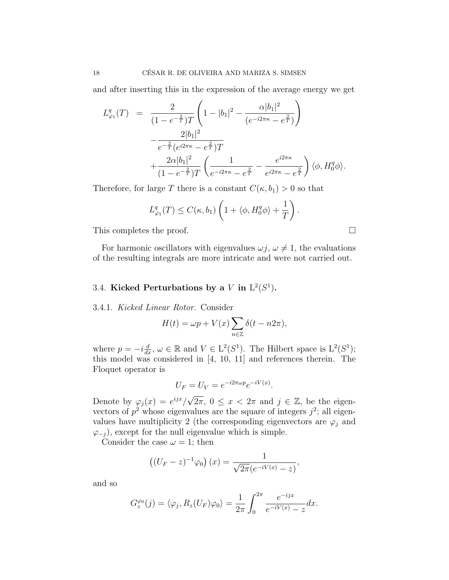and after inserting this in the expression of the average energy we get

$$
L_{\varphi_1}^q(T) = \frac{2}{(1 - e^{-\frac{2}{T}})T} \left( 1 - |b_1|^2 - \frac{\alpha |b_1|^2}{(e^{-i2\pi\kappa} - e^{\frac{2}{T}})} \right)
$$
  

$$
- \frac{2|b_1|^2}{e^{-\frac{2}{T}} (e^{i2\pi\kappa} - e^{\frac{2}{T}})T}
$$
  

$$
+ \frac{2\alpha |b_1|^2}{(1 - e^{-\frac{2}{T}})T} \left( \frac{1}{e^{-i2\pi\kappa} - e^{\frac{2}{T}}} - \frac{e^{i2\pi\kappa}}{e^{i2\pi\kappa} - e^{\frac{2}{T}}} \right) \langle \phi, H_0^q \phi \rangle.
$$

Therefore, for large T there is a constant  $C(\kappa, b_1) > 0$  so that

$$
L^q_{\varphi_1}(T) \le C(\kappa, b_1) \left( 1 + \langle \phi, H_0^q \phi \rangle + \frac{1}{T} \right).
$$

This completes the proof.

For harmonic oscillators with eigenvalues  $\omega j$ ,  $\omega \neq 1$ , the evaluations of the resulting integrals are more intricate and were not carried out.

## 3.4. Kicked Perturbations by a  $V$  in  $L^2(S^1)$ .

### 3.4.1. Kicked Linear Rotor. Consider

$$
H(t) = \omega p + V(x) \sum_{n \in \mathbb{Z}} \delta(t - n2\pi),
$$

where  $p = -i\frac{d}{dx}$ ,  $\omega \in \mathbb{R}$  and  $V \in L^2(S^1)$ . The Hilbert space is  $L^2(S^1)$ ; this model was considered in [4, 10, 11] and references therein. The Floquet operator is

$$
U_F = U_V = e^{-i2\pi\omega p}e^{-iV(x)}.
$$

Denote by  $\varphi_j(x) = e^{ijx}/$  $\sqrt{2\pi}$ ,  $0 \leq x < 2\pi$  and  $j \in \mathbb{Z}$ , be the eigenvectors of  $p^2$  whose eigenvalues are the square of integers  $j^2$ ; all eigenvalues have multiplicity 2 (the corresponding eigenvectors are  $\varphi_j$  and  $\varphi_{-i}$ ), except for the null eigenvalue which is simple.

Consider the case  $\omega = 1$ ; then

$$
((U_F - z)^{-1} \varphi_0)(x) = \frac{1}{\sqrt{2\pi (e^{-iV(x)} - z)}},
$$

and so

$$
G_z^{\varphi_0}(j) = \langle \varphi_j, R_z(U_F)\varphi_0 \rangle = \frac{1}{2\pi} \int_0^{2\pi} \frac{e^{-ijx}}{e^{-iV(x)} - z} dx.
$$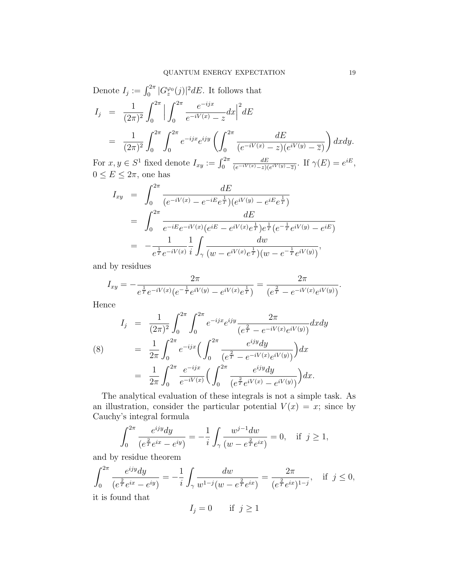Denote  $I_j := \int_0^{2\pi} |G_z^{\varphi_0}(j)|^2 dE$ . It follows that  $I_j =$ 1  $(2\pi)^2$  $\int^{2\pi}$  $\boldsymbol{0}$  $\begin{array}{c} \begin{array}{c} \begin{array}{c} \end{array} \\ \begin{array}{c} \end{array} \end{array} \end{array}$  $\int^{2\pi}$ 0  $e^{-ijx}$  $\frac{e^{-iyx}}{e^{-iV(x)}-z}dx$  $\frac{2}{dE}$ = 1  $(2\pi)^2$  $\int^{2\pi}$ 0  $\int^{2\pi}$ 0  $e^{-ijx}e^{ijy}\int_0^{2\pi}$ 0 dE  $(e^{-iV(x)}-z)(e^{iV(y)}-\overline{z})$  $\setminus$ dxdy.

For  $x, y \in S^1$  fixed denote  $I_{xy} := \int_0^{2\pi}$ dE  $\frac{dE}{(e^{-iV(x)}-z)(e^{iV(y)}-\overline{z})}$ . If  $\gamma(E)=e^{iE},$  $0 \le E \le 2\pi$ , one has

$$
I_{xy} = \int_0^{2\pi} \frac{dE}{(e^{-iV(x)} - e^{-iE}e^{\frac{1}{T}})(e^{iV(y)} - e^{iE}e^{\frac{1}{T}})}
$$
  
= 
$$
\int_0^{2\pi} \frac{dE}{e^{-iE}e^{-iV(x)}(e^{iE} - e^{iV(x)}e^{\frac{1}{T}})e^{\frac{1}{T}}(e^{-\frac{1}{T}}e^{iV(y)} - e^{iE})}
$$
  
= 
$$
-\frac{1}{e^{\frac{1}{T}}e^{-iV(x)}}\frac{1}{i}\int_{\gamma} \frac{dw}{(w - e^{iV(x)}e^{\frac{1}{T}})(w - e^{-\frac{1}{T}}e^{iV(y)})},
$$

and by residues

$$
I_{xy} = -\frac{2\pi}{e^{\frac{1}{T}}e^{-iV(x)}(e^{-\frac{1}{T}}e^{iV(y)} - e^{iV(x)}e^{\frac{1}{T}})} = \frac{2\pi}{(e^{\frac{2}{T}} - e^{-iV(x)}e^{iV(y)})}.
$$

Hence

$$
I_j = \frac{1}{(2\pi)^2} \int_0^{2\pi} \int_0^{2\pi} e^{-ijx} e^{ijy} \frac{2\pi}{(e^{\frac{2}{T}} - e^{-iV(x)}e^{iV(y)})} dx dy
$$
  
\n(8) 
$$
= \frac{1}{2\pi} \int_0^{2\pi} e^{-ijx} \Big( \int_0^{2\pi} \frac{e^{ijy} dy}{(e^{\frac{2}{T}} - e^{-iV(x)}e^{iV(y)})} \Big) dx
$$
  
\n
$$
= \frac{1}{2\pi} \int_0^{2\pi} \frac{e^{-ijx}}{e^{-iV(x)}} \Big( \int_0^{2\pi} \frac{e^{ijy} dy}{(e^{\frac{2}{T}} e^{iV(x)} - e^{iV(y)})} \Big) dx.
$$

The analytical evaluation of these integrals is not a simple task. As an illustration, consider the particular potential  $V(x) = x$ ; since by Cauchy's integral formula

$$
\int_0^{2\pi} \frac{e^{ijy} dy}{(e^{\frac{2}{T}}e^{ix} - e^{iy})} = -\frac{1}{i} \int_{\gamma} \frac{w^{j-1} dw}{(w - e^{\frac{2}{T}}e^{ix})} = 0, \text{ if } j \ge 1,
$$

and by residue theorem

$$
\int_0^{2\pi} \frac{e^{ijy} dy}{(e^{\frac{2}{T}}e^{ix} - e^{iy})} = -\frac{1}{i} \int_{\gamma} \frac{dw}{w^{1-j}(w - e^{\frac{2}{T}}e^{ix})} = \frac{2\pi}{(e^{\frac{2}{T}}e^{ix})^{1-j}}, \text{ if } j \le 0,
$$
 it is found that

$$
I_j = 0 \qquad \text{if } j \ge 1
$$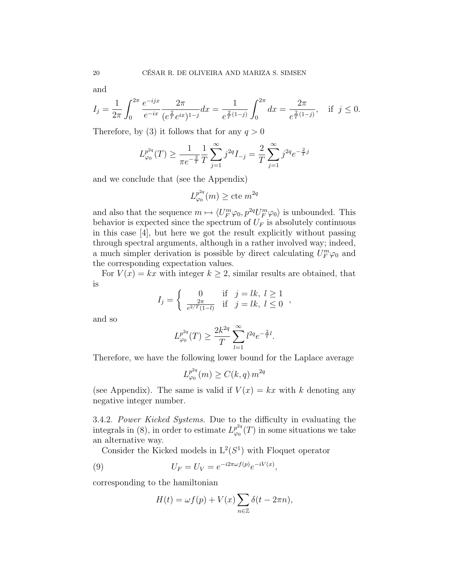and

$$
I_j = \frac{1}{2\pi} \int_0^{2\pi} \frac{e^{-ijx}}{e^{-ix}} \frac{2\pi}{(e^{\frac{2}{T}} e^{ix})^{1-j}} dx = \frac{1}{e^{\frac{2}{T}(1-j)}} \int_0^{2\pi} dx = \frac{2\pi}{e^{\frac{2}{T}(1-j)}}, \quad \text{if } j \le 0.
$$

Therefore, by (3) it follows that for any  $q > 0$ 

$$
L_{\varphi_0}^{p^{2q}}(T) \ge \frac{1}{\pi e^{-\frac{2}{T}}} \frac{1}{T} \sum_{j=1}^{\infty} j^{2q} I_{-j} = \frac{2}{T} \sum_{j=1}^{\infty} j^{2q} e^{-\frac{2}{T}j}
$$

and we conclude that (see the Appendix)

$$
L_{\varphi_0}^{p^{2q}}(m) \geq \text{cte } m^{2q}
$$

and also that the sequence  $m \mapsto \langle U_F^m \varphi_0, p^{2q} U_F^m \varphi_0 \rangle$  is unbounded. This behavior is expected since the spectrum of  $U_F$  is absolutely continuous in this case [4], but here we got the result explicitly without passing through spectral arguments, although in a rather involved way; indeed, a much simpler derivation is possible by direct calculating  $U_F^m \varphi_0$  and the corresponding expectation values.

For  $V(x) = kx$  with integer  $k \geq 2$ , similar results are obtained, that is

$$
I_j = \begin{cases} 0 & \text{if } j = lk, \ l \ge 1\\ \frac{2\pi}{e^{2/T}(1-l)} & \text{if } j = lk, \ l \le 0 \end{cases}
$$

and so

$$
L_{\varphi_0}^{p^{2q}}(T)\geq \frac{2k^{2q}}{T}\sum_{l=1}^\infty l^{2q}e^{-\frac{2}{T}l}.
$$

Therefore, we have the following lower bound for the Laplace average

$$
L_{\varphi_0}^{p^{2q}}(m) \ge C(k, q) m^{2q}
$$

(see Appendix). The same is valid if  $V(x) = kx$  with k denoting any negative integer number.

3.4.2. Power Kicked Systems. Due to the difficulty in evaluating the integrals in (8), in order to estimate  $L_{\infty}^{p^{2q}}$  $\varphi_0^{p^{2q}}(T)$  in some situations we take an alternative way.

Consider the Kicked models in  $L^2(S^1)$  with Floquet operator

(9) 
$$
U_F = U_V = e^{-i2\pi\omega f(p)}e^{-iV(x)},
$$

corresponding to the hamiltonian

$$
H(t) = \omega f(p) + V(x) \sum_{n \in \mathbb{Z}} \delta(t - 2\pi n),
$$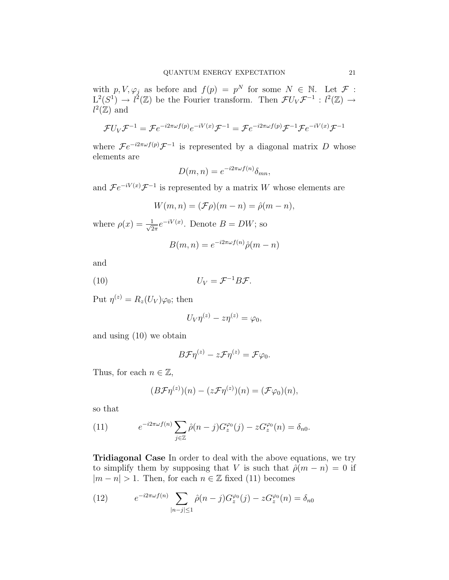with  $p, V, \varphi_j$  as before and  $f(p) = p^N$  for some  $N \in \mathbb{N}$ . Let  $\mathcal{F}$ :  $L^2(S^1) \to l^2(\mathbb{Z})$  be the Fourier transform. Then  $\mathcal{F}U_V\mathcal{F}^{-1}: l^2(\mathbb{Z}) \to$  $l^2(\mathbb{Z})$  and

$$
\mathcal{F}U_V\mathcal{F}^{-1} = \mathcal{F}e^{-i2\pi\omega f(p)}e^{-iV(x)}\mathcal{F}^{-1} = \mathcal{F}e^{-i2\pi\omega f(p)}\mathcal{F}^{-1}\mathcal{F}e^{-iV(x)}\mathcal{F}^{-1}
$$

where  $\mathcal{F}e^{-i2\pi\omega f(p)}\mathcal{F}^{-1}$  is represented by a diagonal matrix D whose elements are

$$
D(m, n) = e^{-i2\pi\omega f(n)} \delta_{mn},
$$

and  $\mathcal{F}e^{-iV(x)}\mathcal{F}^{-1}$  is represented by a matrix W whose elements are

$$
W(m, n) = (\mathcal{F}\rho)(m - n) = \hat{\rho}(m - n),
$$

where  $\rho(x) = \frac{1}{\sqrt{2}}$  $\frac{1}{2\pi}e^{-iV(x)}$ . Denote  $B=DW$ ; so

$$
B(m, n) = e^{-i2\pi\omega f(n)}\hat{\rho}(m - n)
$$

and

$$
(10) \t\t\t U_V = \mathcal{F}^{-1}B\mathcal{F}.
$$

Put  $\eta^{(z)} = R_z(U_V)\varphi_0$ ; then

$$
U_V \eta^{(z)} - z \eta^{(z)} = \varphi_0,
$$

and using (10) we obtain

$$
B\mathcal{F}\eta^{(z)} - z\mathcal{F}\eta^{(z)} = \mathcal{F}\varphi_0.
$$

Thus, for each  $n \in \mathbb{Z}$ ,

$$
(B\mathcal{F}\eta^{(z)})(n) - (z\mathcal{F}\eta^{(z)})(n) = (\mathcal{F}\varphi_0)(n),
$$

so that

(11) 
$$
e^{-i2\pi\omega f(n)} \sum_{j\in\mathbb{Z}} \hat{\rho}(n-j) G_z^{\varphi_0}(j) - z G_z^{\varphi_0}(n) = \delta_{n0}.
$$

Tridiagonal Case In order to deal with the above equations, we try to simplify them by supposing that V is such that  $\hat{\rho}(m - n) = 0$  if  $|m - n| > 1$ . Then, for each  $n \in \mathbb{Z}$  fixed (11) becomes

(12) 
$$
e^{-i2\pi\omega f(n)} \sum_{|n-j| \le 1} \hat{\rho}(n-j) G_z^{\varphi_0}(j) - z G_z^{\varphi_0}(n) = \delta_{n0}
$$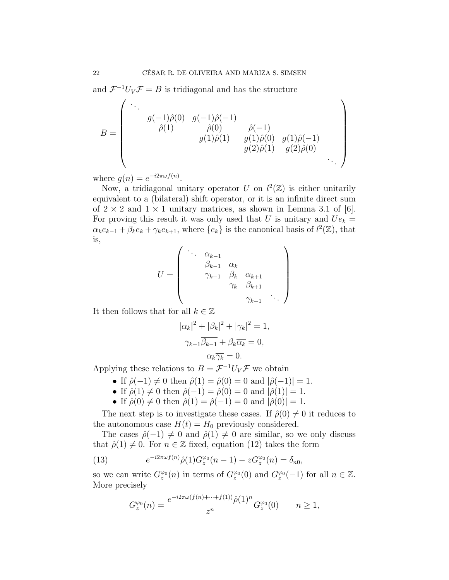and  $\mathcal{F}^{-1}U_V\mathcal{F}=B$  is tridiagonal and has the structure

$$
B = \begin{pmatrix} \ddots & & & & \\ & g(-1)\hat{\rho}(0) & g(-1)\hat{\rho}(-1) & & \\ & \hat{\rho}(1) & & \hat{\rho}(0) & & \hat{\rho}(-1) & \\ & & g(1)\hat{\rho}(1) & g(1)\hat{\rho}(0) & g(1)\hat{\rho}(-1) & \\ & & g(2)\hat{\rho}(1) & g(2)\hat{\rho}(0) & \\ & & & & & \ddots \end{pmatrix}
$$

where  $g(n) = e^{-i2\pi\omega f(n)}$ .

Now, a tridiagonal unitary operator U on  $l^2(\mathbb{Z})$  is either unitarily equivalent to a (bilateral) shift operator, or it is an infinite direct sum of  $2 \times 2$  and  $1 \times 1$  unitary matrices, as shown in Lemma 3.1 of [6]. For proving this result it was only used that U is unitary and  $Ue_k =$  $\alpha_k e_{k-1} + \beta_k e_k + \gamma_k e_{k+1}$ , where  $\{e_k\}$  is the canonical basis of  $l^2(\mathbb{Z})$ , that is,

$$
U = \begin{pmatrix} \cdots & \alpha_{k-1} & & & \\ & \beta_{k-1} & \alpha_k & & \\ & \gamma_{k-1} & \beta_k & \alpha_{k+1} & \\ & & \gamma_k & \beta_{k+1} & \\ & & & & \gamma_{k+1} & \cdots \end{pmatrix}
$$

It then follows that for all  $k \in \mathbb{Z}$ 

$$
|\alpha_k|^2 + |\beta_k|^2 + |\gamma_k|^2 = 1,
$$
  

$$
\gamma_{k-1}\overline{\beta_{k-1}} + \beta_k \overline{\alpha_k} = 0,
$$
  

$$
\alpha_k \overline{\gamma_k} = 0.
$$

Applying these relations to  $B = \mathcal{F}^{-1}U_V\mathcal{F}$  we obtain

- If  $\hat{\rho}(-1) \neq 0$  then  $\hat{\rho}(1) = \hat{\rho}(0) = 0$  and  $|\hat{\rho}(-1)| = 1$ .
- If  $\hat{\rho}(1) \neq 0$  then  $\hat{\rho}(-1) = \hat{\rho}(0) = 0$  and  $|\hat{\rho}(1)| = 1$ .
- If  $\hat{\rho}(0) \neq 0$  then  $\hat{\rho}(1) = \hat{\rho}(-1) = 0$  and  $|\hat{\rho}(0)| = 1$ .

The next step is to investigate these cases. If  $\hat{\rho}(0) \neq 0$  it reduces to the autonomous case  $H(t) = H_0$  previously considered.

The cases  $\hat{\rho}(-1) \neq 0$  and  $\hat{\rho}(1) \neq 0$  are similar, so we only discuss that  $\hat{\rho}(1) \neq 0$ . For  $n \in \mathbb{Z}$  fixed, equation (12) takes the form

(13) 
$$
e^{-i2\pi\omega f(n)}\hat{\rho}(1)G_z^{\varphi_0}(n-1) - zG_z^{\varphi_0}(n) = \delta_{n0},
$$

so we can write  $G_z^{\varphi_0}(n)$  in terms of  $G_z^{\varphi_0}(0)$  and  $G_z^{\varphi_0}(-1)$  for all  $n \in \mathbb{Z}$ . More precisely

$$
G_z^{\varphi_0}(n) = \frac{e^{-i2\pi\omega(f(n) + \dots + f(1))}\hat{\rho}(1)^n}{z^n} G_z^{\varphi_0}(0) \qquad n \ge 1,
$$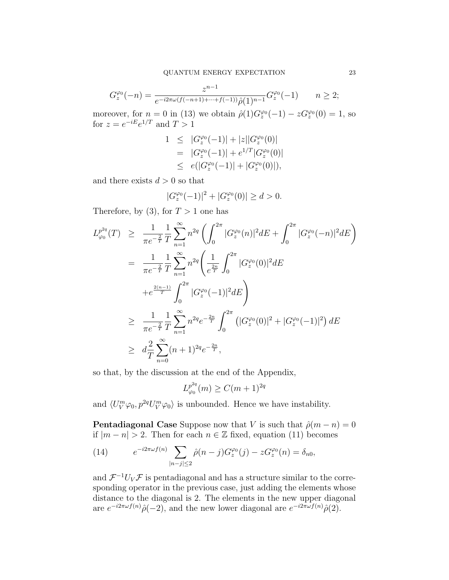$$
G_z^{\varphi_0}(-n) = \frac{z^{n-1}}{e^{-i2\pi\omega(f(-n+1)+\cdots+f(-1))}\hat{\rho}(1)^{n-1}}G_z^{\varphi_0}(-1) \qquad n \ge 2;
$$

moreover, for  $n = 0$  in (13) we obtain  $\hat{\rho}(1)G_z^{\varphi_0}(-1) - zG_z^{\varphi_0}(0) = 1$ , so for  $z = e^{-iE}e^{1/T}$  and  $T > 1$ 

$$
1 \leq |G_z^{\varphi_0}(-1)| + |z||G_z^{\varphi_0}(0)|
$$
  
= |G\_z^{\varphi\_0}(-1)| + e^{1/T}|G\_z^{\varphi\_0}(0)|  

$$
\leq e(|G_z^{\varphi_0}(-1)| + |G_z^{\varphi_0}(0)|),
$$

and there exists  $d > 0$  so that

$$
|G_z^{\varphi_0}(-1)|^2 + |G_z^{\varphi_0}(0)| \ge d > 0.
$$

Therefore, by (3), for  $T > 1$  one has

$$
L_{\varphi_0}^{p^{2q}}(T) \geq \frac{1}{\pi e^{-\frac{2}{T}}} \frac{1}{T} \sum_{n=1}^{\infty} n^{2q} \left( \int_0^{2\pi} |G_z^{\varphi_0}(n)|^2 dE + \int_0^{2\pi} |G_z^{\varphi_0}(-n)|^2 dE \right)
$$
  
\n
$$
= \frac{1}{\pi e^{-\frac{2}{T}}} \frac{1}{T} \sum_{n=1}^{\infty} n^{2q} \left( \frac{1}{e^{\frac{2n}{T}}} \int_0^{2\pi} |G_z^{\varphi_0}(0)|^2 dE + e^{\frac{2(n-1)}{T}} \int_0^{2\pi} |G_z^{\varphi_0}(-1)|^2 dE \right)
$$
  
\n
$$
\geq \frac{1}{\pi e^{-\frac{2}{T}}} \frac{1}{T} \sum_{n=1}^{\infty} n^{2q} e^{-\frac{2n}{T}} \int_0^{2\pi} (|G_z^{\varphi_0}(0)|^2 + |G_z^{\varphi_0}(-1)|^2) dE
$$
  
\n
$$
\geq d \frac{2}{T} \sum_{n=0}^{\infty} (n+1)^{2q} e^{-\frac{2n}{T}},
$$

so that, by the discussion at the end of the Appendix,

$$
L_{\varphi_0}^{p^{2q}}(m) \ge C(m+1)^{2q}
$$

and  $\langle U_V^m \varphi_0, p^{2q} U_V^m \varphi_0 \rangle$  is unbounded. Hence we have instability.

**Pentadiagonal Case** Suppose now that V is such that  $\hat{\rho}(m - n) = 0$ if  $|m - n| > 2$ . Then for each  $n \in \mathbb{Z}$  fixed, equation (11) becomes

(14) 
$$
e^{-i2\pi\omega f(n)} \sum_{|n-j|\leq 2} \hat{\rho}(n-j) G_z^{\varphi_0}(j) - z G_z^{\varphi_0}(n) = \delta_{n0},
$$

and  $\mathcal{F}^{-1}U_V\mathcal{F}$  is pentadiagonal and has a structure similar to the corresponding operator in the previous case, just adding the elements whose distance to the diagonal is 2. The elements in the new upper diagonal are  $e^{-i2\pi\omega f(n)}\hat{\rho}(-2)$ , and the new lower diagonal are  $e^{-i2\pi\omega f(n)}\hat{\rho}(2)$ .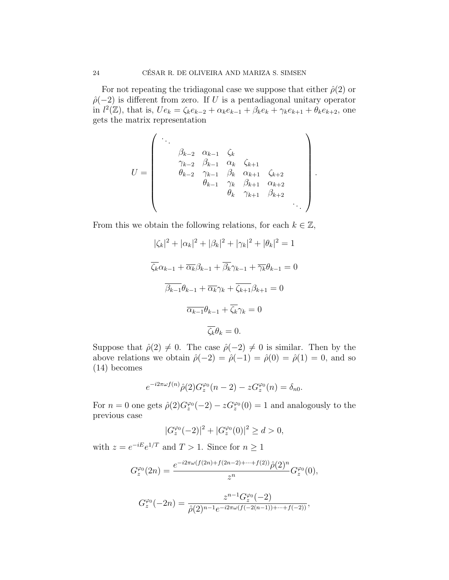For not repeating the tridiagonal case we suppose that either  $\hat{\rho}(2)$  or  $\hat{\rho}(-2)$  is different from zero. If U is a pentadiagonal unitary operator in  $l^2(\mathbb{Z})$ , that is,  $U e_k = \zeta_k e_{k-2} + \alpha_k e_{k-1} + \beta_k e_k + \gamma_k e_{k+1} + \theta_k e_{k+2}$ , one gets the matrix representation

$$
U = \begin{pmatrix} \ddots & & & & & \\ & \beta_{k-2} & \alpha_{k-1} & \zeta_k & & & \\ & \gamma_{k-2} & \beta_{k-1} & \alpha_k & \zeta_{k+1} & & \\ & \theta_{k-2} & \gamma_{k-1} & \beta_k & \alpha_{k+1} & \zeta_{k+2} & \\ & & \theta_{k-1} & \gamma_k & \beta_{k+1} & \alpha_{k+2} & \\ & & & \theta_k & \gamma_{k+1} & \beta_{k+2} & \\ & & & & & & \ddots \end{pmatrix}.
$$

From this we obtain the following relations, for each  $k \in \mathbb{Z}$ ,

$$
|\zeta_k|^2 + |\alpha_k|^2 + |\beta_k|^2 + |\gamma_k|^2 + |\theta_k|^2 = 1
$$
  

$$
\overline{\zeta_k} \alpha_{k-1} + \overline{\alpha_k} \beta_{k-1} + \overline{\beta_k} \gamma_{k-1} + \overline{\gamma_k} \theta_{k-1} = 0
$$
  

$$
\overline{\beta_{k-1}} \theta_{k-1} + \overline{\alpha_k} \gamma_k + \overline{\zeta_{k+1}} \beta_{k+1} = 0
$$
  

$$
\overline{\alpha_{k-1}} \theta_{k-1} + \overline{\zeta_k} \gamma_k = 0
$$
  

$$
\overline{\zeta_k} \theta_k = 0.
$$

Suppose that  $\hat{\rho}(2) \neq 0$ . The case  $\hat{\rho}(-2) \neq 0$  is similar. Then by the above relations we obtain  $\hat{\rho}(-2) = \hat{\rho}(-1) = \hat{\rho}(0) = \hat{\rho}(1) = 0$ , and so (14) becomes

$$
e^{-i2\pi\omega f(n)}\hat{\rho}(2)G_z^{\varphi_0}(n-2) - zG_z^{\varphi_0}(n) = \delta_{n0}.
$$

For  $n = 0$  one gets  $\hat{\rho}(2)G_z^{\varphi_0}(-2) - zG_z^{\varphi_0}(0) = 1$  and analogously to the previous case

$$
|G_z^{\varphi_0}(-2)|^2 + |G_z^{\varphi_0}(0)|^2 \ge d > 0,
$$

with  $z = e^{-iE}e^{1/T}$  and  $T > 1$ . Since for  $n \ge 1$ 

$$
G_z^{\varphi_0}(2n) = \frac{e^{-i2\pi\omega(f(2n)+f(2n-2)+\cdots+f(2))}\hat{\rho}(2)^n}{z^n}G_z^{\varphi_0}(0),
$$

$$
G_z^{\varphi_0}(-2n) = \frac{z^{n-1} G_z^{\varphi_0}(-2)}{\hat{\rho}(2)^{n-1} e^{-i2\pi\omega(f(-2(n-1))+\cdots+f(-2))}},
$$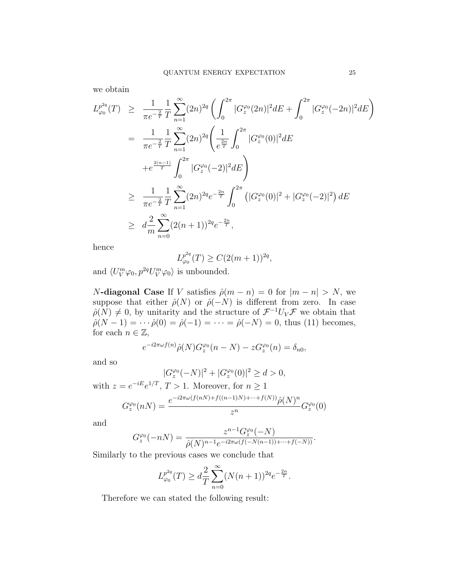we obtain

$$
L_{\varphi_0}^{p_{2q}}(T) \geq \frac{1}{\pi e^{-\frac{2}{T}}} \frac{1}{T} \sum_{n=1}^{\infty} (2n)^{2q} \left( \int_0^{2\pi} |G_z^{\varphi_0}(2n)|^2 dE + \int_0^{2\pi} |G_z^{\varphi_0}(-2n)|^2 dE \right)
$$
  
\n
$$
= \frac{1}{\pi e^{-\frac{2}{T}}} \frac{1}{T} \sum_{n=1}^{\infty} (2n)^{2q} \left( \frac{1}{e^{\frac{2n}{T}}} \int_0^{2\pi} |G_z^{\varphi_0}(0)|^2 dE + e^{\frac{2(n-1)}{T}} \int_0^{2\pi} |G_z^{\varphi_0}(-2)|^2 dE \right)
$$
  
\n
$$
\geq \frac{1}{\pi e^{-\frac{2}{T}}} \frac{1}{T} \sum_{n=1}^{\infty} (2n)^{2q} e^{-\frac{2n}{T}} \int_0^{2\pi} (|G_z^{\varphi_0}(0)|^2 + |G_z^{\varphi_0}(-2)|^2) dE
$$
  
\n
$$
\geq d \frac{2}{m} \sum_{n=0}^{\infty} (2(n+1))^{2q} e^{-\frac{2n}{T}},
$$

hence

$$
L_{\varphi_0}^{p^{2q}}(T) \ge C(2(m+1))^{2q},
$$

and  $\langle U_V^m \varphi_0, p^{2q} U_V^m \varphi_0 \rangle$  is unbounded.

N-diagonal Case If V satisfies  $\hat{\rho}(m - n) = 0$  for  $|m - n| > N$ , we suppose that either  $\hat{\rho}(N)$  or  $\hat{\rho}(-N)$  is different from zero. In case  $\hat{\rho}(N) \neq 0$ , by unitarity and the structure of  $\mathcal{F}^{-1}U_V\mathcal{F}$  we obtain that  $\hat{\rho}(N-1) = \cdots \hat{\rho}(0) = \hat{\rho}(-1) = \cdots = \hat{\rho}(-N) = 0$ , thus (11) becomes, for each  $n \in \mathbb{Z}$ ,

$$
e^{-i2\pi\omega f(n)}\hat{\rho}(N)G_z^{\varphi_0}(n-N) - zG_z^{\varphi_0}(n) = \delta_{n0},
$$

and so

$$
|G_z^{\varphi_0}(-N)|^2 + |G_z^{\varphi_0}(0)|^2 \ge d > 0,
$$

with 
$$
z = e^{-iE}e^{1/T}
$$
,  $T > 1$ . Moreover, for  $n \ge 1$   

$$
G_z^{\varphi_0}(nN) = \frac{e^{-i2\pi\omega(f(nN) + f((n-1)N) + \dots + f(N))}\hat{\rho}(N)^n}{z^n}G_z^{\varphi_0}(0)
$$

and

$$
G_z^{\varphi_0}(-nN) = \frac{z^{n-1}G_z^{\varphi_0}(-N)}{\hat{\rho}(N)^{n-1}e^{-i2\pi\omega(f(-N(n-1))+\cdots+f(-N))}}.
$$

Similarly to the previous cases we conclude that

$$
L_{\varphi_0}^{p^{2q}}(T) \geq d \frac{2}{T} \sum_{n=0}^{\infty} (N(n+1))^{2q} e^{-\frac{2n}{T}}.
$$

Therefore we can stated the following result: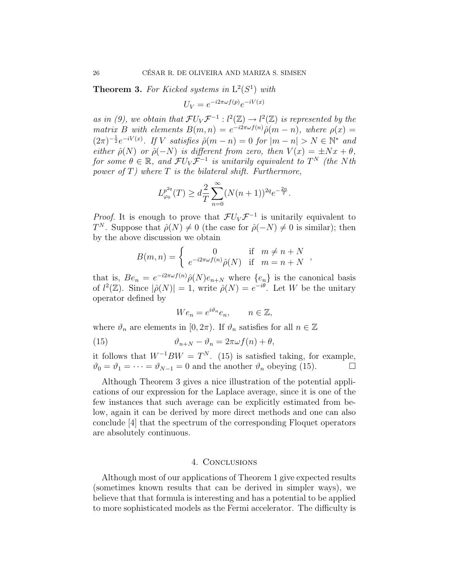**Theorem 3.** For Kicked systems in  $L^2(S^1)$  with

$$
U_V = e^{-i2\pi\omega f(p)}e^{-iV(x)}
$$

as in (9), we obtain that  $\mathcal{F}U_V\mathcal{F}^{-1}: l^2(\mathbb{Z}) \to l^2(\mathbb{Z})$  is represented by the matrix B with elements  $B(m, n) = e^{-i2\pi\omega f(n)} \hat{\rho}(m - n)$ , where  $\rho(x) =$  $(2\pi)^{-\frac{1}{2}}e^{-iV(x)}$ . If V satisfies  $\hat{\rho}(m-n) = 0$  for  $|m-n| > N \in \mathbb{N}^*$  and either  $\hat{\rho}(N)$  or  $\hat{\rho}(-N)$  is different from zero, then  $V(x) = \pm Nx + \theta$ , for some  $\theta \in \mathbb{R}$ , and  $\mathcal{F}U_V\mathcal{F}^{-1}$  is unitarily equivalent to  $T^N$  (the Nth power of  $T$ ) where  $T$  is the bilateral shift. Furthermore,

$$
L_{\varphi_0}^{p^{2q}}(T) \geq d \frac{2}{T} \sum_{n=0}^{\infty} (N(n+1))^{2q} e^{-\frac{2n}{T}}.
$$

*Proof.* It is enough to prove that  $\mathcal{F}U_V\mathcal{F}^{-1}$  is unitarily equivalent to  $T^N$ . Suppose that  $\hat{\rho}(N) \neq 0$  (the case for  $\hat{\rho}(-N) \neq 0$  is similar); then by the above discussion we obtain

$$
B(m,n) = \begin{cases} 0 & \text{if } m \neq n+N \\ e^{-i2\pi\omega f(n)}\hat{\rho}(N) & \text{if } m = n+N \end{cases}
$$

that is,  $Be_n = e^{-i2\pi\omega f(n)}\hat{\rho}(N)e_{n+N}$  where  $\{e_n\}$  is the canonical basis of  $l^2(\mathbb{Z})$ . Since  $|\hat{\rho}(N)| = 1$ , write  $\hat{\rho}(N) = e^{-i\theta}$ . Let W be the unitary operator defined by

$$
We_n = e^{i\vartheta_n} e_n, \qquad n \in \mathbb{Z},
$$

where  $\vartheta_n$  are elements in  $[0, 2\pi)$ . If  $\vartheta_n$  satisfies for all  $n \in \mathbb{Z}$ 

(15) 
$$
\vartheta_{n+N} - \vartheta_n = 2\pi\omega f(n) + \theta,
$$

it follows that  $W^{-1}BW = T^N$ . (15) is satisfied taking, for example,  $\vartheta_0 = \vartheta_1 = \cdots = \vartheta_{N-1} = 0$  and the another  $\vartheta_n$  obeying (15).

Although Theorem 3 gives a nice illustration of the potential applications of our expression for the Laplace average, since it is one of the few instances that such average can be explicitly estimated from below, again it can be derived by more direct methods and one can also conclude [4] that the spectrum of the corresponding Floquet operators are absolutely continuous.

### 4. Conclusions

Although most of our applications of Theorem 1 give expected results (sometimes known results that can be derived in simpler ways), we believe that that formula is interesting and has a potential to be applied to more sophisticated models as the Fermi accelerator. The difficulty is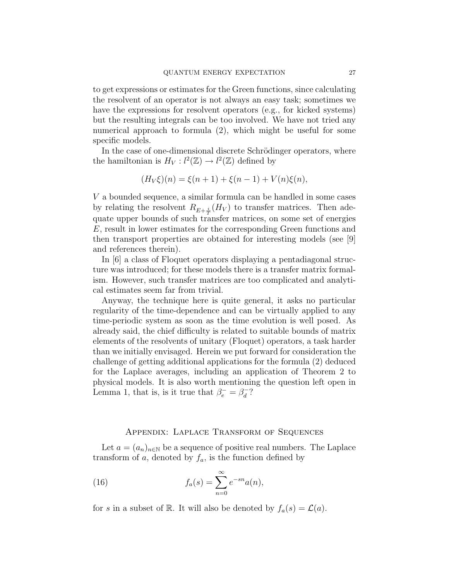to get expressions or estimates for the Green functions, since calculating the resolvent of an operator is not always an easy task; sometimes we have the expressions for resolvent operators (e.g., for kicked systems) but the resulting integrals can be too involved. We have not tried any numerical approach to formula (2), which might be useful for some specific models.

In the case of one-dimensional discrete Schrödinger operators, where the hamiltonian is  $H_V: l^2(\mathbb{Z}) \to l^2(\mathbb{Z})$  defined by

$$
(H_V\xi)(n) = \xi(n+1) + \xi(n-1) + V(n)\xi(n),
$$

V a bounded sequence, a similar formula can be handled in some cases by relating the resolvent  $R_{E+\frac{i}{T}}(H_V)$  to transfer matrices. Then adequate upper bounds of such transfer matrices, on some set of energies E, result in lower estimates for the corresponding Green functions and then transport properties are obtained for interesting models (see [9] and references therein).

In [6] a class of Floquet operators displaying a pentadiagonal structure was introduced; for these models there is a transfer matrix formalism. However, such transfer matrices are too complicated and analytical estimates seem far from trivial.

Anyway, the technique here is quite general, it asks no particular regularity of the time-dependence and can be virtually applied to any time-periodic system as soon as the time evolution is well posed. As already said, the chief difficulty is related to suitable bounds of matrix elements of the resolvents of unitary (Floquet) operators, a task harder than we initially envisaged. Herein we put forward for consideration the challenge of getting additional applications for the formula (2) deduced for the Laplace averages, including an application of Theorem 2 to physical models. It is also worth mentioning the question left open in Lemma 1, that is, is it true that  $\beta_e^- = \beta_d^ \frac{1}{d}$ ?

## Appendix: Laplace Transform of Sequences

Let  $a = (a_n)_{n \in \mathbb{N}}$  be a sequence of positive real numbers. The Laplace transform of a, denoted by  $f_a$ , is the function defined by

(16) 
$$
f_a(s) = \sum_{n=0}^{\infty} e^{-sn} a(n),
$$

for s in a subset of R. It will also be denoted by  $f_a(s) = \mathcal{L}(a)$ .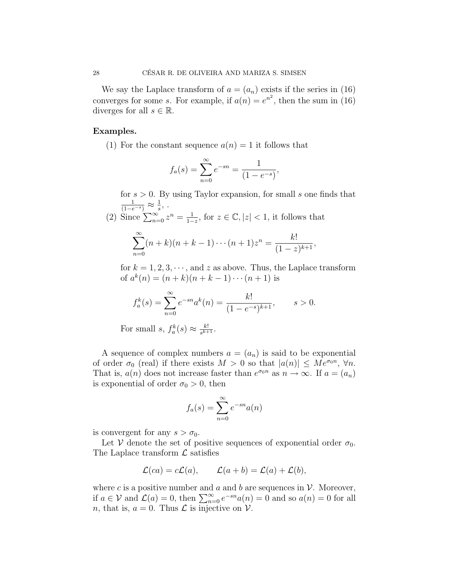We say the Laplace transform of  $a = (a_n)$  exists if the series in (16) converges for some s. For example, if  $a(n) = e^{n^2}$ , then the sum in (16) diverges for all  $s \in \mathbb{R}$ .

### Examples.

(1) For the constant sequence  $a(n) = 1$  it follows that

$$
f_a(s) = \sum_{n=0}^{\infty} e^{-sn} = \frac{1}{(1 - e^{-s})},
$$

for  $s > 0$ . By using Taylor expansion, for small s one finds that  $\frac{1}{(1-e^{-s})} \approx \frac{1}{s}$  $\frac{1}{s}$ , .

(2) Since 
$$
\sum_{n=0}^{\infty} z^n = \frac{1}{1-z}
$$
, for  $z \in \mathbb{C}, |z| < 1$ , it follows that

$$
\sum_{n=0}^{\infty} (n+k)(n+k-1)\cdots(n+1)z^n = \frac{k!}{(1-z)^{k+1}},
$$

for  $k = 1, 2, 3, \dots$ , and z as above. Thus, the Laplace transform of  $a^k(n) = (n+k)(n+k-1)\cdots(n+1)$  is

$$
f_a^k(s) = \sum_{n=0}^{\infty} e^{-sn} a^k(n) = \frac{k!}{(1 - e^{-s})^{k+1}}, \qquad s > 0.
$$

For small  $s, f_a^k(s) \approx \frac{k!}{s^{k+1}}$  $\frac{k!}{s^{k+1}}$ .

A sequence of complex numbers  $a = (a_n)$  is said to be exponential of order  $\sigma_0$  (real) if there exists  $M > 0$  so that  $|a(n)| \leq Me^{\sigma_0 n}$ ,  $\forall n$ . That is,  $a(n)$  does not increase faster than  $e^{\sigma_0 n}$  as  $n \to \infty$ . If  $a = (a_n)$ is exponential of order  $\sigma_0 > 0$ , then

$$
f_a(s) = \sum_{n=0}^{\infty} e^{-sn} a(n)
$$

is convergent for any  $s > \sigma_0$ .

Let V denote the set of positive sequences of exponential order  $\sigma_0$ . The Laplace transform  $\mathcal L$  satisfies

$$
\mathcal{L}(ca) = c\mathcal{L}(a), \qquad \mathcal{L}(a+b) = \mathcal{L}(a) + \mathcal{L}(b),
$$

where c is a positive number and a and b are sequences in  $\mathcal V$ . Moreover, if  $a \in V$  and  $\mathcal{L}(a) = 0$ , then  $\sum_{n=0}^{\infty} e^{-sn} a(n) = 0$  and so  $a(n) = 0$  for all *n*, that is,  $a = 0$ . Thus  $\mathcal L$  is injective on  $\mathcal V$ .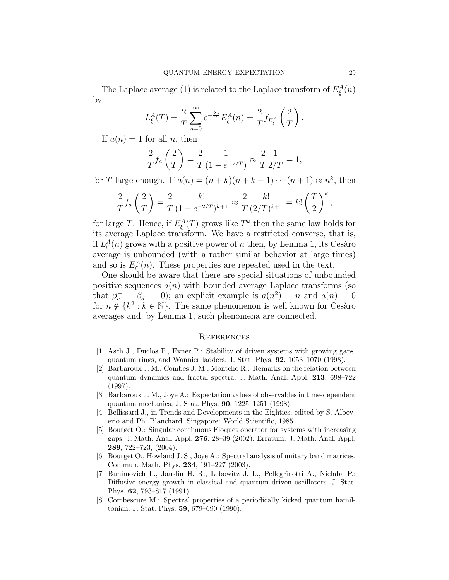The Laplace average (1) is related to the Laplace transform of  $E_{\xi}^{A}(n)$ by

$$
L_{\xi}^{A}(T) = \frac{2}{T} \sum_{n=0}^{\infty} e^{-\frac{2n}{T}} E_{\xi}^{A}(n) = \frac{2}{T} f_{E_{\xi}^{A}} \left(\frac{2}{T}\right).
$$

If  $a(n) = 1$  for all n, then

$$
\frac{2}{T}f_a\left(\frac{2}{T}\right) = \frac{2}{T}\frac{1}{(1 - e^{-2/T})} \approx \frac{2}{T}\frac{1}{2/T} = 1,
$$

for T large enough. If  $a(n) = (n+k)(n+k-1)\cdots(n+1) \approx n^k$ , then

$$
\frac{2}{T}f_a\left(\frac{2}{T}\right) = \frac{2}{T}\frac{k!}{(1 - e^{-2/T})^{k+1}} \approx \frac{2}{T}\frac{k!}{(2/T)^{k+1}} = k!\left(\frac{T}{2}\right)^k,
$$

for large T. Hence, if  $E_{\xi}^{A}(T)$  grows like  $T^{k}$  then the same law holds for its average Laplace transform. We have a restricted converse, that is, if  $L_{\xi}^{A}(n)$  grows with a positive power of n then, by Lemma 1, its Cesàro average is unbounded (with a rather similar behavior at large times) and so is  $E_{\xi}^{A}(n)$ . These properties are repeated used in the text.

One should be aware that there are special situations of unbounded positive sequences  $a(n)$  with bounded average Laplace transforms (so that  $\beta_e^+ = \beta_d^+ = 0$ ; an explicit example is  $a(n^2) = n$  and  $a(n) = 0$ for  $n \notin \{k^2 : k \in \mathbb{N}\}\.$  The same phenomenon is well known for Cesaro averages and, by Lemma 1, such phenomena are connected.

#### **REFERENCES**

- [1] Asch J., Duclos P., Exner P.: Stability of driven systems with growing gaps, quantum rings, and Wannier ladders. J. Stat. Phys. 92, 1053–1070 (1998).
- [2] Barbaroux J. M., Combes J. M., Montcho R.: Remarks on the relation between quantum dynamics and fractal spectra. J. Math. Anal. Appl. 213, 698–722 (1997).
- [3] Barbaroux J. M., Joye A.: Expectation values of observables in time-dependent quantum mechanics. J. Stat. Phys. 90, 1225–1251 (1998).
- [4] Bellissard J., in Trends and Developments in the Eighties, edited by S. Albeverio and Ph. Blanchard. Singapore: World Scientific, 1985.
- [5] Bourget O.: Singular continuous Floquet operator for systems with increasing gaps. J. Math. Anal. Appl. 276, 28–39 (2002); Erratum: J. Math. Anal. Appl. 289, 722–723, (2004).
- [6] Bourget O., Howland J. S., Joye A.: Spectral analysis of unitary band matrices. Commun. Math. Phys. 234, 191–227 (2003).
- [7] Bunimovich L., Jauslin H. R., Lebowitz J. L., Pellegrinotti A., Nielaba P.: Diffusive energy growth in classical and quantum driven oscillators. J. Stat. Phys. 62, 793–817 (1991).
- [8] Combescure M.: Spectral properties of a periodically kicked quantum hamiltonian. J. Stat. Phys. 59, 679–690 (1990).